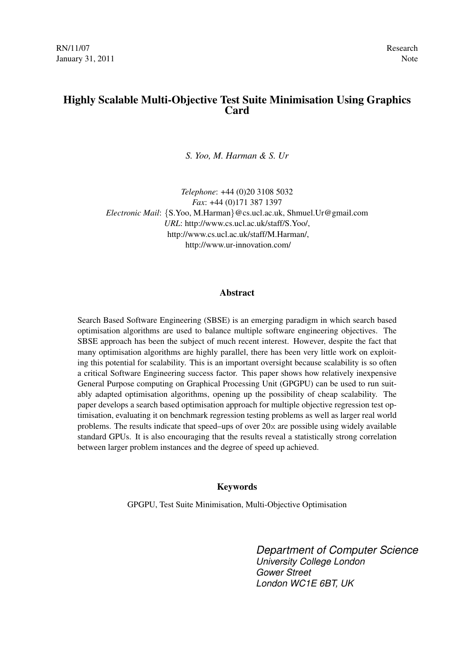# Highly Scalable Multi-Objective Test Suite Minimisation Using Graphics **Card**

*S. Yoo, M. Harman & S. Ur*

*Telephone*: +44 (0)20 3108 5032 *Fax*: +44 (0)171 387 1397 *Electronic Mail*: {S.Yoo, M.Harman}@cs.ucl.ac.uk, Shmuel.Ur@gmail.com *URL*: http://www.cs.ucl.ac.uk/staff/S.Yoo/, http://www.cs.ucl.ac.uk/staff/M.Harman/, http://www.ur-innovation.com/

#### Abstract

Search Based Software Engineering (SBSE) is an emerging paradigm in which search based optimisation algorithms are used to balance multiple software engineering objectives. The SBSE approach has been the subject of much recent interest. However, despite the fact that many optimisation algorithms are highly parallel, there has been very little work on exploiting this potential for scalability. This is an important oversight because scalability is so often a critical Software Engineering success factor. This paper shows how relatively inexpensive General Purpose computing on Graphical Processing Unit (GPGPU) can be used to run suitably adapted optimisation algorithms, opening up the possibility of cheap scalability. The paper develops a search based optimisation approach for multiple objective regression test optimisation, evaluating it on benchmark regression testing problems as well as larger real world problems. The results indicate that speed–ups of over  $20x$  are possible using widely available standard GPUs. It is also encouraging that the results reveal a statistically strong correlation between larger problem instances and the degree of speed up achieved.

#### Keywords

GPGPU, Test Suite Minimisation, Multi-Objective Optimisation

*Department of Computer Science University College London Gower Street London WC1E 6BT, UK*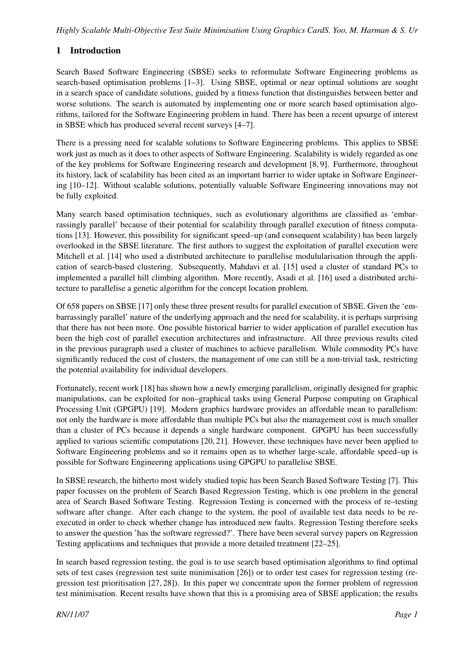# 1 Introduction

Search Based Software Engineering (SBSE) seeks to reformulate Software Engineering problems as search-based optimisation problems [1–3]. Using SBSE, optimal or near optimal solutions are sought in a search space of candidate solutions, guided by a fitness function that distinguishes between better and worse solutions. The search is automated by implementing one or more search based optimisation algorithms, tailored for the Software Engineering problem in hand. There has been a recent upsurge of interest in SBSE which has produced several recent surveys [4–7].

There is a pressing need for scalable solutions to Software Engineering problems. This applies to SBSE work just as much as it does to other aspects of Software Engineering. Scalability is widely regarded as one of the key problems for Software Engineering research and development [8, 9]. Furthermore, throughout its history, lack of scalability has been cited as an important barrier to wider uptake in Software Engineering [10–12]. Without scalable solutions, potentially valuable Software Engineering innovations may not be fully exploited.

Many search based optimisation techniques, such as evolutionary algorithms are classified as 'embarrassingly parallel' because of their potential for scalability through parallel execution of fitness computations [13]. However, this possibility for significant speed–up (and consequent scalability) has been largely overlooked in the SBSE literature. The first authors to suggest the exploitation of parallel execution were Mitchell et al. [14] who used a distributed architecture to parallelise modulularisation through the application of search-based clustering. Subsequently, Mahdavi et al. [15] used a cluster of standard PCs to implemented a parallel hill climbing algorithm. More recently, Asadi et al. [16] used a distributed architecture to parallelise a genetic algorithm for the concept location problem.

Of 658 papers on SBSE [17] only these three present results for parallel execution of SBSE. Given the 'embarrassingly parallel' nature of the underlying approach and the need for scalability, it is perhaps surprising that there has not been more. One possible historical barrier to wider application of parallel execution has been the high cost of parallel execution architectures and infrastructure. All three previous results cited in the previous paragraph used a cluster of machines to achieve parallelism. While commodity PCs have significantly reduced the cost of clusters, the management of one can still be a non-trivial task, restricting the potential availability for individual developers.

Fortunately, recent work [18] has shown how a newly emerging parallelism, originally designed for graphic manipulations, can be exploited for non–graphical tasks using General Purpose computing on Graphical Processing Unit (GPGPU) [19]. Modern graphics hardware provides an affordable mean to parallelism: not only the hardware is more affordable than multiple PCs but also the management cost is much smaller than a cluster of PCs because it depends a single hardware component. GPGPU has been successfully applied to various scientific computations [20, 21]. However, these techniques have never been applied to Software Engineering problems and so it remains open as to whether large-scale, affordable speed–up is possible for Software Engineering applications using GPGPU to parallelise SBSE.

In SBSE research, the hitherto most widely studied topic has been Search Based Software Testing [7]. This paper focusses on the problem of Search Based Regression Testing, which is one problem in the general area of Search Based Software Testing. Regression Testing is concerned with the process of re–testing software after change. After each change to the system, the pool of available test data needs to be reexecuted in order to check whether change has introduced new faults. Regression Testing therefore seeks to answer the question 'has the software regressed?'. There have been several survey papers on Regression Testing applications and techniques that provide a more detailed treatment [22–25].

In search based regression testing, the goal is to use search based optimisation algorithms to find optimal sets of test cases (regression test suite minimisation [26]) or to order test cases for regression testing (regression test prioritisation [27, 28]). In this paper we concentrate upon the former problem of regression test minimisation. Recent results have shown that this is a promising area of SBSE application; the results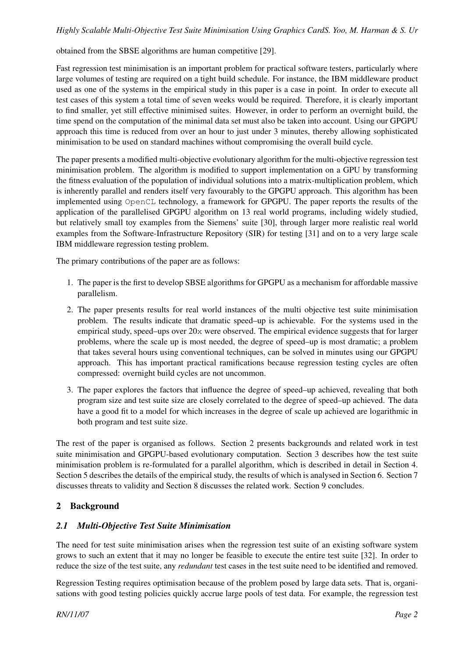obtained from the SBSE algorithms are human competitive [29].

Fast regression test minimisation is an important problem for practical software testers, particularly where large volumes of testing are required on a tight build schedule. For instance, the IBM middleware product used as one of the systems in the empirical study in this paper is a case in point. In order to execute all test cases of this system a total time of seven weeks would be required. Therefore, it is clearly important to find smaller, yet still effective minimised suites. However, in order to perform an overnight build, the time spend on the computation of the minimal data set must also be taken into account. Using our GPGPU approach this time is reduced from over an hour to just under 3 minutes, thereby allowing sophisticated minimisation to be used on standard machines without compromising the overall build cycle.

The paper presents a modified multi-objective evolutionary algorithm for the multi-objective regression test minimisation problem. The algorithm is modified to support implementation on a GPU by transforming the fitness evaluation of the population of individual solutions into a matrix-multiplication problem, which is inherently parallel and renders itself very favourably to the GPGPU approach. This algorithm has been implemented using OpenCL technology, a framework for GPGPU. The paper reports the results of the application of the parallelised GPGPU algorithm on 13 real world programs, including widely studied, but relatively small toy examples from the Siemens' suite [30], through larger more realistic real world examples from the Software-Infrastructure Repository (SIR) for testing [31] and on to a very large scale IBM middleware regression testing problem.

The primary contributions of the paper are as follows:

- 1. The paper is the first to develop SBSE algorithms for GPGPU as a mechanism for affordable massive parallelism.
- 2. The paper presents results for real world instances of the multi objective test suite minimisation problem. The results indicate that dramatic speed–up is achievable. For the systems used in the empirical study, speed–ups over 20x were observed. The empirical evidence suggests that for larger problems, where the scale up is most needed, the degree of speed–up is most dramatic; a problem that takes several hours using conventional techniques, can be solved in minutes using our GPGPU approach. This has important practical ramifications because regression testing cycles are often compressed: overnight build cycles are not uncommon.
- 3. The paper explores the factors that influence the degree of speed–up achieved, revealing that both program size and test suite size are closely correlated to the degree of speed–up achieved. The data have a good fit to a model for which increases in the degree of scale up achieved are logarithmic in both program and test suite size.

The rest of the paper is organised as follows. Section 2 presents backgrounds and related work in test suite minimisation and GPGPU-based evolutionary computation. Section 3 describes how the test suite minimisation problem is re-formulated for a parallel algorithm, which is described in detail in Section 4. Section 5 describes the details of the empirical study, the results of which is analysed in Section 6. Section 7 discusses threats to validity and Section 8 discusses the related work. Section 9 concludes.

### 2 Background

### *2.1 Multi-Objective Test Suite Minimisation*

The need for test suite minimisation arises when the regression test suite of an existing software system grows to such an extent that it may no longer be feasible to execute the entire test suite [32]. In order to reduce the size of the test suite, any *redundant* test cases in the test suite need to be identified and removed.

Regression Testing requires optimisation because of the problem posed by large data sets. That is, organisations with good testing policies quickly accrue large pools of test data. For example, the regression test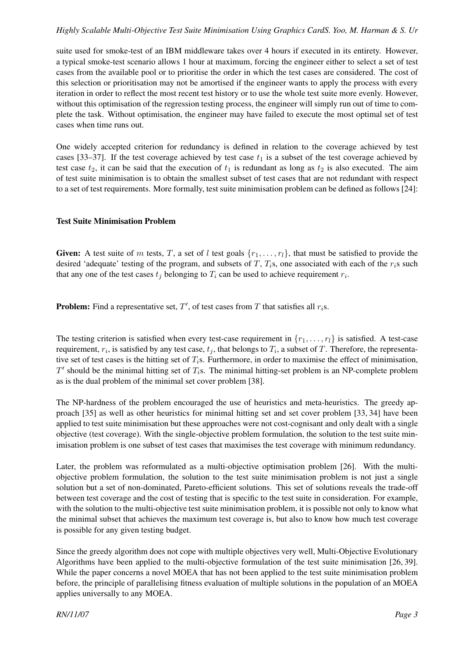suite used for smoke-test of an IBM middleware takes over 4 hours if executed in its entirety. However, a typical smoke-test scenario allows 1 hour at maximum, forcing the engineer either to select a set of test cases from the available pool or to prioritise the order in which the test cases are considered. The cost of this selection or prioritisation may not be amortised if the engineer wants to apply the process with every iteration in order to reflect the most recent test history or to use the whole test suite more evenly. However, without this optimisation of the regression testing process, the engineer will simply run out of time to complete the task. Without optimisation, the engineer may have failed to execute the most optimal set of test cases when time runs out.

One widely accepted criterion for redundancy is defined in relation to the coverage achieved by test cases [33–37]. If the test coverage achieved by test case  $t_1$  is a subset of the test coverage achieved by test case  $t_2$ , it can be said that the execution of  $t_1$  is redundant as long as  $t_2$  is also executed. The aim of test suite minimisation is to obtain the smallest subset of test cases that are not redundant with respect to a set of test requirements. More formally, test suite minimisation problem can be defined as follows [24]:

#### Test Suite Minimisation Problem

Given: A test suite of m tests, T, a set of l test goals  $\{r_1, \ldots, r_l\}$ , that must be satisfied to provide the desired 'adequate' testing of the program, and subsets of T,  $T<sub>i</sub>$ s, one associated with each of the  $r<sub>i</sub>$ s such that any one of the test cases  $t_j$  belonging to  $T_i$  can be used to achieve requirement  $r_i$ .

**Problem:** Find a representative set,  $T'$ , of test cases from T that satisfies all  $r_i$ s.

The testing criterion is satisfied when every test-case requirement in  $\{r_1, \ldots, r_l\}$  is satisfied. A test-case requirement,  $r_i$ , is satisfied by any test case,  $t_j$ , that belongs to  $T_i$ , a subset of T. Therefore, the representative set of test cases is the hitting set of  $T_i$ s. Furthermore, in order to maximise the effect of minimisation,  $T'$  should be the minimal hitting set of  $T_i$ s. The minimal hitting-set problem is an NP-complete problem as is the dual problem of the minimal set cover problem [38].

The NP-hardness of the problem encouraged the use of heuristics and meta-heuristics. The greedy approach [35] as well as other heuristics for minimal hitting set and set cover problem [33, 34] have been applied to test suite minimisation but these approaches were not cost-cognisant and only dealt with a single objective (test coverage). With the single-objective problem formulation, the solution to the test suite minimisation problem is one subset of test cases that maximises the test coverage with minimum redundancy.

Later, the problem was reformulated as a multi-objective optimisation problem [26]. With the multiobjective problem formulation, the solution to the test suite minimisation problem is not just a single solution but a set of non-dominated, Pareto-efficient solutions. This set of solutions reveals the trade-off between test coverage and the cost of testing that is specific to the test suite in consideration. For example, with the solution to the multi-objective test suite minimisation problem, it is possible not only to know what the minimal subset that achieves the maximum test coverage is, but also to know how much test coverage is possible for any given testing budget.

Since the greedy algorithm does not cope with multiple objectives very well, Multi-Objective Evolutionary Algorithms have been applied to the multi-objective formulation of the test suite minimisation [26, 39]. While the paper concerns a novel MOEA that has not been applied to the test suite minimisation problem before, the principle of parallelising fitness evaluation of multiple solutions in the population of an MOEA applies universally to any MOEA.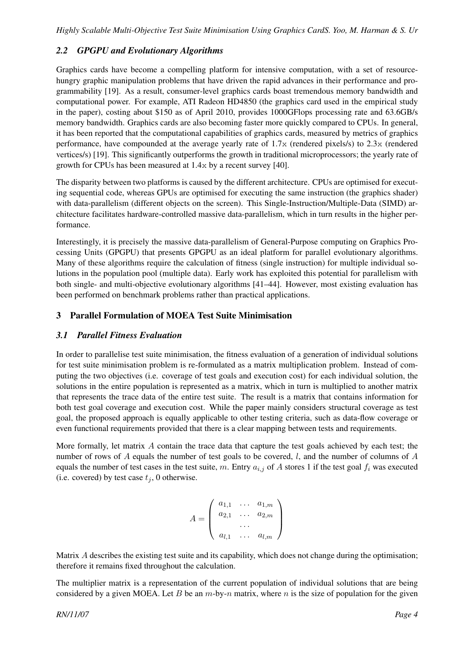# *2.2 GPGPU and Evolutionary Algorithms*

Graphics cards have become a compelling platform for intensive computation, with a set of resourcehungry graphic manipulation problems that have driven the rapid advances in their performance and programmability [19]. As a result, consumer-level graphics cards boast tremendous memory bandwidth and computational power. For example, ATI Radeon HD4850 (the graphics card used in the empirical study in the paper), costing about \$150 as of April 2010, provides 1000GFlops processing rate and 63.6GB/s memory bandwidth. Graphics cards are also becoming faster more quickly compared to CPUs. In general, it has been reported that the computational capabilities of graphics cards, measured by metrics of graphics performance, have compounded at the average yearly rate of 1.7x (rendered pixels/s) to 2.3x (rendered vertices/s) [19]. This significantly outperforms the growth in traditional microprocessors; the yearly rate of growth for CPUs has been measured at 1.4x by a recent survey [40].

The disparity between two platforms is caused by the different architecture. CPUs are optimised for executing sequential code, whereas GPUs are optimised for executing the same instruction (the graphics shader) with data-parallelism (different objects on the screen). This Single-Instruction/Multiple-Data (SIMD) architecture facilitates hardware-controlled massive data-parallelism, which in turn results in the higher performance.

Interestingly, it is precisely the massive data-parallelism of General-Purpose computing on Graphics Processing Units (GPGPU) that presents GPGPU as an ideal platform for parallel evolutionary algorithms. Many of these algorithms require the calculation of fitness (single instruction) for multiple individual solutions in the population pool (multiple data). Early work has exploited this potential for parallelism with both single- and multi-objective evolutionary algorithms [41–44]. However, most existing evaluation has been performed on benchmark problems rather than practical applications.

# 3 Parallel Formulation of MOEA Test Suite Minimisation

### *3.1 Parallel Fitness Evaluation*

In order to parallelise test suite minimisation, the fitness evaluation of a generation of individual solutions for test suite minimisation problem is re-formulated as a matrix multiplication problem. Instead of computing the two objectives (i.e. coverage of test goals and execution cost) for each individual solution, the solutions in the entire population is represented as a matrix, which in turn is multiplied to another matrix that represents the trace data of the entire test suite. The result is a matrix that contains information for both test goal coverage and execution cost. While the paper mainly considers structural coverage as test goal, the proposed approach is equally applicable to other testing criteria, such as data-flow coverage or even functional requirements provided that there is a clear mapping between tests and requirements.

More formally, let matrix A contain the trace data that capture the test goals achieved by each test; the number of rows of A equals the number of test goals to be covered,  $l$ , and the number of columns of A equals the number of test cases in the test suite, m. Entry  $a_{i,j}$  of A stores 1 if the test goal  $f_i$  was executed (i.e. covered) by test case  $t_i$ , 0 otherwise.

$$
A = \left( \begin{array}{ccc} a_{1,1} & \dots & a_{1,m} \\ a_{2,1} & \dots & a_{2,m} \\ \dots & \dots \\ a_{l,1} & \dots & a_{l,m} \end{array} \right)
$$

Matrix A describes the existing test suite and its capability, which does not change during the optimisation; therefore it remains fixed throughout the calculation.

The multiplier matrix is a representation of the current population of individual solutions that are being considered by a given MOEA. Let B be an  $m$ -by- $n$  matrix, where  $n$  is the size of population for the given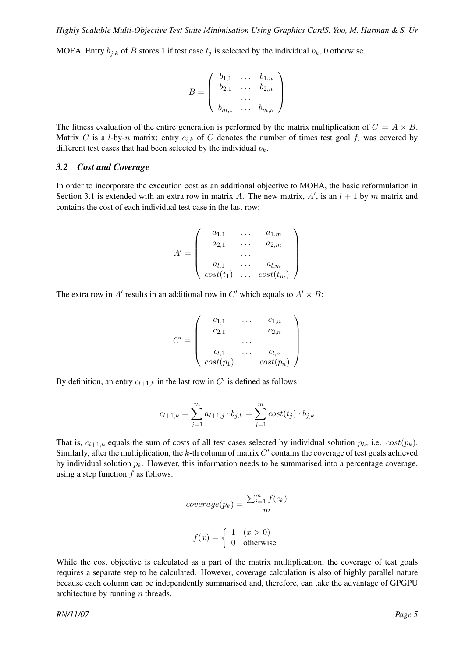MOEA. Entry  $b_{i,k}$  of B stores 1 if test case  $t_i$  is selected by the individual  $p_k$ , 0 otherwise.

$$
B = \left(\begin{array}{cccc} b_{1,1} & \dots & b_{1,n} \\ b_{2,1} & \dots & b_{2,n} \\ \dots & \dots \\ b_{m,1} & \dots & b_{m,n} \end{array}\right)
$$

The fitness evaluation of the entire generation is performed by the matrix multiplication of  $C = A \times B$ . Matrix C is a l-by-n matrix; entry  $c_{i,k}$  of C denotes the number of times test goal  $f_i$  was covered by different test cases that had been selected by the individual  $p_k$ .

#### *3.2 Cost and Coverage*

In order to incorporate the execution cost as an additional objective to MOEA, the basic reformulation in Section 3.1 is extended with an extra row in matrix A. The new matrix, A', is an  $l + 1$  by m matrix and contains the cost of each individual test case in the last row:

$$
A' = \left( \begin{array}{ccc} a_{1,1} & \dots & a_{1,m} \\ a_{2,1} & \dots & a_{2,m} \\ \dots & \dots & \dots \\ a_{l,1} & \dots & a_{l,m} \\ cost(t_1) & \dots & cost(t_m) \end{array} \right)
$$

The extra row in A' results in an additional row in C' which equals to  $A' \times B$ :

$$
C' = \left(\begin{array}{cccc} c_{1,1} & \cdots & c_{1,n} \\ c_{2,1} & \cdots & c_{2,n} \\ \cdots & \cdots & \cdots \\ c_{l,1} & \cdots & c_{l,n} \\ cost(p_1) & \cdots & cost(p_n) \end{array}\right)
$$

By definition, an entry  $c_{l+1,k}$  in the last row in C' is defined as follows:

$$
c_{l+1,k} = \sum_{j=1}^{m} a_{l+1,j} \cdot b_{j,k} = \sum_{j=1}^{m} cost(t_j) \cdot b_{j,k}
$$

That is,  $c_{l+1,k}$  equals the sum of costs of all test cases selected by individual solution  $p_k$ , i.e.  $cost(p_k)$ . Similarly, after the multiplication, the  $k$ -th column of matrix  $C'$  contains the coverage of test goals achieved by individual solution  $p_k$ . However, this information needs to be summarised into a percentage coverage, using a step function  $f$  as follows:

$$
coverage(p_k) = \frac{\sum_{i=1}^{m} f(c_k)}{m}
$$

$$
f(x) = \begin{cases} 1 & (x > 0) \\ 0 & \text{otherwise} \end{cases}
$$

While the cost objective is calculated as a part of the matrix multiplication, the coverage of test goals requires a separate step to be calculated. However, coverage calculation is also of highly parallel nature because each column can be independently summarised and, therefore, can take the advantage of GPGPU architecture by running  $n$  threads.

*RN/11/07 Page 5*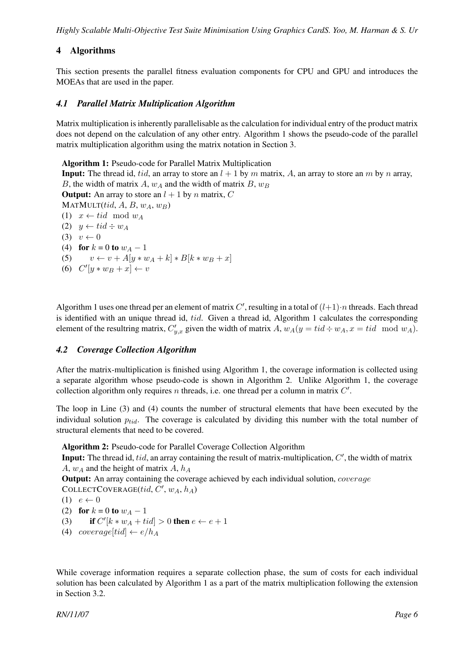*Highly Scalable Multi-Objective Test Suite Minimisation Using Graphics CardS. Yoo, M. Harman & S. Ur*

# 4 Algorithms

This section presents the parallel fitness evaluation components for CPU and GPU and introduces the MOEAs that are used in the paper.

### *4.1 Parallel Matrix Multiplication Algorithm*

Matrix multiplication is inherently parallelisable as the calculation for individual entry of the product matrix does not depend on the calculation of any other entry. Algorithm 1 shows the pseudo-code of the parallel matrix multiplication algorithm using the matrix notation in Section 3.

Algorithm 1: Pseudo-code for Parallel Matrix Multiplication **Input:** The thread id, tid, an array to store an  $l + 1$  by m matrix, A, an array to store an m by n array, B, the width of matrix A,  $w_A$  and the width of matrix B,  $w_B$ **Output:** An array to store an  $l + 1$  by n matrix, C  $MATMULT(tid, A, B, w<sub>A</sub>, w<sub>B</sub>)$ (1)  $x \leftarrow tid \mod w_A$ (2)  $y \leftarrow tid \div w_A$  $(3)$   $v \leftarrow 0$ (4) for  $k = 0$  to  $w_A - 1$ (5)  $v \leftarrow v + A[y * w_A + k] * B[k * w_B + x]$ (6)  $C'[y*w_B + x] \leftarrow v$ 

Algorithm 1 uses one thread per an element of matrix C', resulting in a total of  $(l+1)\cdot n$  threads. Each thread is identified with an unique thread id, tid. Given a thread id, Algorithm 1 calculates the corresponding element of the resultring matrix,  $C'_{y,x}$  given the width of matrix  $A$ ,  $w_A(y = tid \div w_A, x = tid \mod w_A)$ .

### *4.2 Coverage Collection Algorithm*

After the matrix-multiplication is finished using Algorithm 1, the coverage information is collected using a separate algorithm whose pseudo-code is shown in Algorithm 2. Unlike Algorithm 1, the coverage collection algorithm only requires  $n$  threads, i.e. one thread per a column in matrix  $C'$ .

The loop in Line (3) and (4) counts the number of structural elements that have been executed by the individual solution  $p_{tid}$ . The coverage is calculated by dividing this number with the total number of structural elements that need to be covered.

Algorithm 2: Pseudo-code for Parallel Coverage Collection Algorithm

Input: The thread id, tid, an array containing the result of matrix-multiplication,  $C'$ , the width of matrix A,  $w_A$  and the height of matrix A,  $h_A$ 

**Output:** An array containing the coverage achieved by each individual solution, *coverage* 

COLLECTCOVERAGE(tid,  $C'$ ,  $w_A$ ,  $h_A$ )

$$
(1) e \leftarrow 0
$$

(2) for  $k = 0$  to  $w_A - 1$ 

- (3) if  $C'[k*w_A + tid] > 0$  then  $e \leftarrow e + 1$
- (4) coverage[tid]  $\leftarrow e/h_A$

While coverage information requires a separate collection phase, the sum of costs for each individual solution has been calculated by Algorithm 1 as a part of the matrix multiplication following the extension in Section 3.2.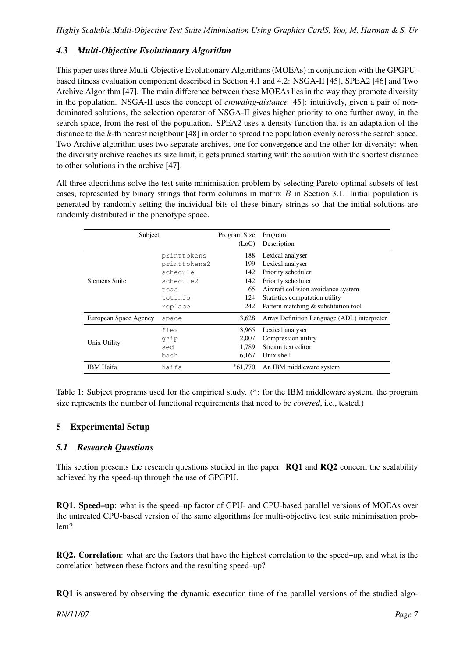# *4.3 Multi-Objective Evolutionary Algorithm*

This paper uses three Multi-Objective Evolutionary Algorithms (MOEAs) in conjunction with the GPGPUbased fitness evaluation component described in Section 4.1 and 4.2: NSGA-II [45], SPEA2 [46] and Two Archive Algorithm [47]. The main difference between these MOEAs lies in the way they promote diversity in the population. NSGA-II uses the concept of *crowding-distance* [45]: intuitively, given a pair of nondominated solutions, the selection operator of NSGA-II gives higher priority to one further away, in the search space, from the rest of the population. SPEA2 uses a density function that is an adaptation of the distance to the k-th nearest neighbour [48] in order to spread the population evenly across the search space. Two Archive algorithm uses two separate archives, one for convergence and the other for diversity: when the diversity archive reaches its size limit, it gets pruned starting with the solution with the shortest distance to other solutions in the archive [47].

All three algorithms solve the test suite minimisation problem by selecting Pareto-optimal subsets of test cases, represented by binary strings that form columns in matrix  $B$  in Section 3.1. Initial population is generated by randomly setting the individual bits of these binary strings so that the initial solutions are randomly distributed in the phenotype space.

| Subject               |              | Program Size<br>(LoC) | Program<br>Description                      |
|-----------------------|--------------|-----------------------|---------------------------------------------|
|                       |              | 188                   | Lexical analyser                            |
|                       | printtokens  |                       |                                             |
|                       | printtokens2 | 199                   | Lexical analyser                            |
|                       | schedule     | 142                   | Priority scheduler                          |
| Siemens Suite         | schedule2    | 142                   | Priority scheduler                          |
|                       | tcas         | 65                    | Aircraft collision avoidance system         |
|                       | totinfo      | 124                   | Statistics computation utility              |
|                       | replace      | 242                   | Pattern matching & substitution tool        |
| European Space Agency | space        | 3,628                 | Array Definition Language (ADL) interpreter |
|                       | flex         | 3,965                 | Lexical analyser                            |
| Unix Utility          | qzip         | 2,007                 | Compression utility                         |
|                       | sed          | 1.789                 | Stream text editor                          |
|                       | bash         | 6.167                 | Unix shell                                  |
| <b>IBM</b> Haifa      | haifa        | $*61.770$             | An IBM middleware system                    |

Table 1: Subject programs used for the empirical study. (\*: for the IBM middleware system, the program size represents the number of functional requirements that need to be *covered*, i.e., tested.)

# 5 Experimental Setup

### *5.1 Research Questions*

This section presents the research questions studied in the paper. RQ1 and RQ2 concern the scalability achieved by the speed-up through the use of GPGPU.

RQ1. Speed–up: what is the speed–up factor of GPU- and CPU-based parallel versions of MOEAs over the untreated CPU-based version of the same algorithms for multi-objective test suite minimisation problem?

RQ2. Correlation: what are the factors that have the highest correlation to the speed–up, and what is the correlation between these factors and the resulting speed–up?

RQ1 is answered by observing the dynamic execution time of the parallel versions of the studied algo-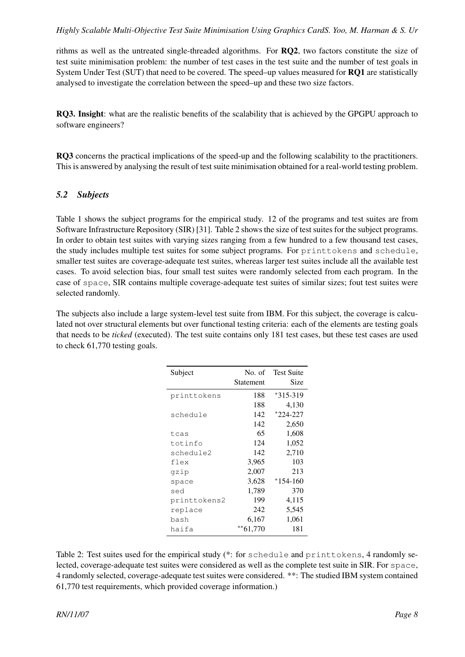rithms as well as the untreated single-threaded algorithms. For RQ2, two factors constitute the size of test suite minimisation problem: the number of test cases in the test suite and the number of test goals in System Under Test (SUT) that need to be covered. The speed–up values measured for RQ1 are statistically analysed to investigate the correlation between the speed–up and these two size factors.

RQ3. Insight: what are the realistic benefits of the scalability that is achieved by the GPGPU approach to software engineers?

RQ3 concerns the practical implications of the speed-up and the following scalability to the practitioners. This is answered by analysing the result of test suite minimisation obtained for a real-world testing problem.

### *5.2 Subjects*

Table 1 shows the subject programs for the empirical study. 12 of the programs and test suites are from Software Infrastructure Repository (SIR) [31]. Table 2 shows the size of test suites for the subject programs. In order to obtain test suites with varying sizes ranging from a few hundred to a few thousand test cases, the study includes multiple test suites for some subject programs. For printtokens and schedule, smaller test suites are coverage-adequate test suites, whereas larger test suites include all the available test cases. To avoid selection bias, four small test suites were randomly selected from each program. In the case of space, SIR contains multiple coverage-adequate test suites of similar sizes; fout test suites were selected randomly.

The subjects also include a large system-level test suite from IBM. For this subject, the coverage is calculated not over structural elements but over functional testing criteria: each of the elements are testing goals that needs to be *ticked* (executed). The test suite contains only 181 test cases, but these test cases are used to check 61,770 testing goals.

| Subject      | No. of       | <b>Test Suite</b> |
|--------------|--------------|-------------------|
|              | Statement    | Size              |
| printtokens  | 188          | *315-319          |
|              | 188          | 4,130             |
| schedule     | 142          | $*224-227$        |
|              | 142          | 2,650             |
| tcas         | 65           | 1,608             |
| totinfo      | 124          | 1,052             |
| schedule2    | 142          | 2,710             |
| flex         | 3,965        | 103               |
| gzip         | 2,007        | 213               |
| space        | 3,628        | $*154-160$        |
| sed          | 1,789        | 370               |
| printtokens2 | 199          | 4,115             |
| replace      | 242          | 5,545             |
| bash         | 6,167        | 1,061             |
| haifa        | $*$ $61,770$ | 181               |

Table 2: Test suites used for the empirical study (\*: for schedule and printtokens, 4 randomly selected, coverage-adequate test suites were considered as well as the complete test suite in SIR. For space, 4 randomly selected, coverage-adequate test suites were considered. \*\*: The studied IBM system contained 61,770 test requirements, which provided coverage information.)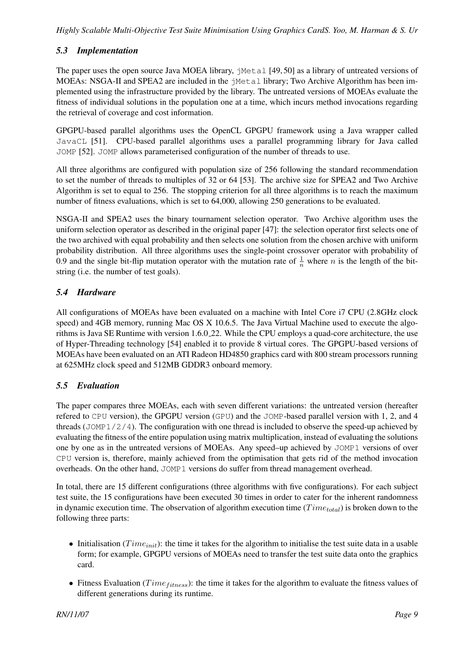# *5.3 Implementation*

The paper uses the open source Java MOEA library, jMetal [49, 50] as a library of untreated versions of MOEAs: NSGA-II and SPEA2 are included in the  $\gamma$ Metal library; Two Archive Algorithm has been implemented using the infrastructure provided by the library. The untreated versions of MOEAs evaluate the fitness of individual solutions in the population one at a time, which incurs method invocations regarding the retrieval of coverage and cost information.

GPGPU-based parallel algorithms uses the OpenCL GPGPU framework using a Java wrapper called JavaCL [51]. CPU-based parallel algorithms uses a parallel programming library for Java called JOMP [52]. JOMP allows parameterised configuration of the number of threads to use.

All three algorithms are configured with population size of 256 following the standard recommendation to set the number of threads to multiples of 32 or 64 [53]. The archive size for SPEA2 and Two Archive Algorithm is set to equal to 256. The stopping criterion for all three algorithms is to reach the maximum number of fitness evaluations, which is set to 64,000, allowing 250 generations to be evaluated.

NSGA-II and SPEA2 uses the binary tournament selection operator. Two Archive algorithm uses the uniform selection operator as described in the original paper [47]: the selection operator first selects one of the two archived with equal probability and then selects one solution from the chosen archive with uniform probability distribution. All three algorithms uses the single-point crossover operator with probability of 0.9 and the single bit-flip mutation operator with the mutation rate of  $\frac{1}{n}$  where *n* is the length of the bitstring (i.e. the number of test goals).

# *5.4 Hardware*

All configurations of MOEAs have been evaluated on a machine with Intel Core i7 CPU (2.8GHz clock speed) and 4GB memory, running Mac OS X 10.6.5. The Java Virtual Machine used to execute the algorithms is Java SE Runtime with version 1.6.0 22. While the CPU employs a quad-core architecture, the use of Hyper-Threading technology [54] enabled it to provide 8 virtual cores. The GPGPU-based versions of MOEAs have been evaluated on an ATI Radeon HD4850 graphics card with 800 stream processors running at 625MHz clock speed and 512MB GDDR3 onboard memory.

# *5.5 Evaluation*

The paper compares three MOEAs, each with seven different variations: the untreated version (hereafter refered to CPU version), the GPGPU version (GPU) and the JOMP-based parallel version with 1, 2, and 4 threads (JOMP $1/2/4$ ). The configuration with one thread is included to observe the speed-up achieved by evaluating the fitness of the entire population using matrix multiplication, instead of evaluating the solutions one by one as in the untreated versions of MOEAs. Any speed–up achieved by JOMP1 versions of over CPU version is, therefore, mainly achieved from the optimisation that gets rid of the method invocation overheads. On the other hand, JOMP1 versions do suffer from thread management overhead.

In total, there are 15 different configurations (three algorithms with five configurations). For each subject test suite, the 15 configurations have been executed 30 times in order to cater for the inherent randomness in dynamic execution time. The observation of algorithm execution time ( $Time_{total}$ ) is broken down to the following three parts:

- Initialisation ( $Time_{init}$ ): the time it takes for the algorithm to initialise the test suite data in a usable form; for example, GPGPU versions of MOEAs need to transfer the test suite data onto the graphics card.
- Fitness Evaluation ( $Time_{fitness}$ ): the time it takes for the algorithm to evaluate the fitness values of different generations during its runtime.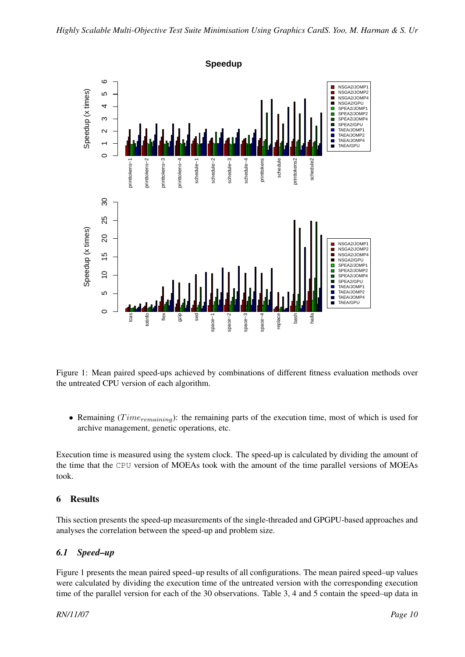

Figure 1: Mean paired speed-ups achieved by combinations of different fitness evaluation methods over the untreated CPU version of each algorithm.

• Remaining ( $Time_{remaining}$ ): the remaining parts of the execution time, most of which is used for archive management, genetic operations, etc.

Execution time is measured using the system clock. The speed-up is calculated by dividing the amount of the time that the CPU version of MOEAs took with the amount of the time parallel versions of MOEAs took.

# 6 Results

This section presents the speed-up measurements of the single-threaded and GPGPU-based approaches and analyses the correlation between the speed-up and problem size.

# *6.1 Speed–up*

Figure 1 presents the mean paired speed–up results of all configurations. The mean paired speed–up values were calculated by dividing the execution time of the untreated version with the corresponding execution time of the parallel version for each of the 30 observations. Table 3, 4 and 5 contain the speed–up data in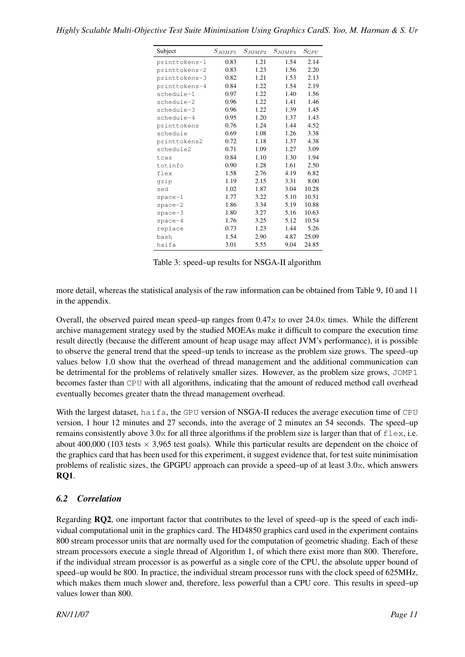| Highly Scalable Multi-Objective Test Suite Minimisation Using Graphics CardS. Yoo, M. Harman & S. Ur |  |  |
|------------------------------------------------------------------------------------------------------|--|--|
|                                                                                                      |  |  |

| Subject       | $S_{JOMP1}$ | $S_{JOMP2}$ | $S_{JOMP4}$ | $S_{GPU}$ |
|---------------|-------------|-------------|-------------|-----------|
| printtokens-1 | 0.83        | 1.21        | 1.54        | 2.14      |
| printtokens-2 | 0.83        | 1.23        | 1.56        | 2.20      |
| printtokens-3 | 0.82        | 1.21        | 1.53        | 2.13      |
| printtokens-4 | 0.84        | 1.22        | 1.54        | 2.19      |
| schedule-1    | 0.97        | 1.22        | 1.40        | 1.56      |
| schedule-2    | 0.96        | 1.22        | 1.41        | 1.46      |
| schedule-3    | 0.96        | 1.22        | 1.39        | 1.45      |
| schedule-4    | 0.95        | 1.20        | 1.37        | 1.43      |
| printtokens   | 0.76        | 1.24        | 1.44        | 4.52      |
| schedule      | 0.69        | 1.08        | 1.26        | 3.38      |
| printtokens2  | 0.72        | 1.18        | 1.37        | 4.38      |
| schedule2     | 0.71        | 1.09        | 1.27        | 3.09      |
| tcas          | 0.84        | 1.10        | 1.30        | 1.94      |
| totinfo       | 0.90        | 1.28        | 1.61        | 2.50      |
| flex          | 1.58        | 2.76        | 4.19        | 6.82      |
| gzip          | 1.19        | 2.15        | 3.31        | 8.00      |
| sed           | 1.02        | 1.87        | 3.04        | 10.28     |
| $space-1$     | 1.77        | 3.22        | 5.10        | 10.51     |
| $space-2$     | 1.86        | 3.34        | 5.19        | 10.88     |
| $space-3$     | 1.80        | 3.27        | 5.16        | 10.63     |
| $space-4$     | 1.76        | 3.25        | 5.12        | 10.54     |
| replace       | 0.73        | 1.23        | 1.44        | 5.26      |
| bash          | 1.54        | 2.90        | 4.87        | 25.09     |
| haifa         | 3.01        | 5.55        | 9.04        | 24.85     |

Table 3: speed–up results for NSGA-II algorithm

more detail, whereas the statistical analysis of the raw information can be obtained from Table 9, 10 and 11 in the appendix.

Overall, the observed paired mean speed–up ranges from 0.47x to over 24.0x times. While the different archive management strategy used by the studied MOEAs make it difficult to compare the execution time result directly (because the different amount of heap usage may affect JVM's performance), it is possible to observe the general trend that the speed–up tends to increase as the problem size grows. The speed–up values below 1.0 show that the overhead of thread management and the additional communication can be detrimental for the problems of relatively smaller sizes. However, as the problem size grows, JOMP1 becomes faster than CPU with all algorithms, indicating that the amount of reduced method call overhead eventually becomes greater thatn the thread management overhead.

With the largest dataset, haifa, the GPU version of NSGA-II reduces the average execution time of CPU version, 1 hour 12 minutes and 27 seconds, into the average of 2 minutes an 54 seconds. The speed–up remains consistently above 3.0x for all three algorithms if the problem size is larger than that of  $f \, \text{lex}, i.e.$ about 400,000 (103 tests  $\times$  3,965 test goals). While this particular results are dependent on the choice of the graphics card that has been used for this experiment, it suggest evidence that, for test suite minimisation problems of realistic sizes, the GPGPU approach can provide a speed–up of at least 3.0x, which answers RQ1.

# *6.2 Correlation*

Regarding RQ2, one important factor that contributes to the level of speed–up is the speed of each individual computational unit in the graphics card. The HD4850 graphics card used in the experiment contains 800 stream processor units that are normally used for the computation of geometric shading. Each of these stream processors execute a single thread of Algorithm 1, of which there exist more than 800. Therefore, if the individual stream processor is as powerful as a single core of the CPU, the absolute upper bound of speed–up would be 800. In practice, the individual stream processor runs with the clock speed of 625MHz, which makes them much slower and, therefore, less powerful than a CPU core. This results in speed–up values lower than 800.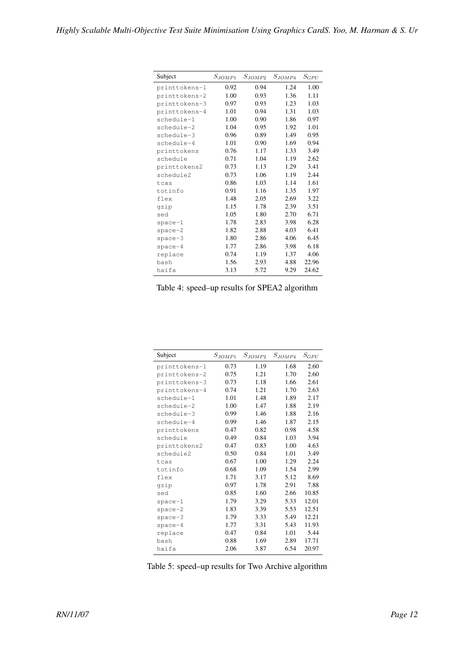| Subject       | $S_{JOMP1}$ | $S_{JOMP2}$ | $S_{JOMP4}$ | $S_{GPU}$ |
|---------------|-------------|-------------|-------------|-----------|
| printtokens-1 | 0.92        | 0.94        | 1.24        | 1.00      |
| printtokens-2 | 1.00        | 0.93        | 1.36        | 1.11      |
| printtokens-3 | 0.97        | 0.93        | 1.23        | 1.03      |
| printtokens-4 | 1.01        | 0.94        | 1.31        | 1.03      |
| schedule-1    | 1.00        | 0.90        | 1.86        | 0.97      |
| schedule-2    | 1.04        | 0.95        | 1.92        | 1.01      |
| schedule-3    | 0.96        | 0.89        | 1.49        | 0.95      |
| schedule-4    | 1.01        | 0.90        | 1.69        | 0.94      |
| printtokens   | 0.76        | 1.17        | 1.33        | 3.49      |
| schedule      | 0.71        | 1.04        | 1.19        | 2.62      |
| printtokens2  | 0.73        | 1.13        | 1.29        | 3.41      |
| schedule2     | 0.73        | 1.06        | 1.19        | 2.44      |
| tcas          | 0.86        | 1.03        | 1.14        | 1.61      |
| totinfo       | 0.91        | 1.16        | 1.35        | 1.97      |
| flex          | 1.48        | 2.05        | 2.69        | 3.22      |
| gzip          | 1.15        | 1.78        | 2.39        | 3.51      |
| sed           | 1.05        | 1.80        | 2.70        | 6.71      |
| $space-1$     | 1.78        | 2.83        | 3.98        | 6.28      |
| $space-2$     | 1.82        | 2.88        | 4.03        | 6.41      |
| $space-3$     | 1.80        | 2.86        | 4.06        | 6.45      |
| $space-4$     | 1.77        | 2.86        | 3.98        | 6.18      |
| replace       | 0.74        | 1.19        | 1.37        | 4.06      |
| bash          | 1.56        | 2.93        | 4.88        | 22.96     |
| haifa         | 3.13        | 5.72        | 9.29        | 24.62     |

| Subject       | $S_{JOMP1}$ | $S_{JOMP2}$ | $S_{JOMP4}$ | $S_{GPU}$ |
|---------------|-------------|-------------|-------------|-----------|
| printtokens-1 | 0.73        | 1.19        | 1.68        | 2.60      |
| printtokens-2 | 0.75        | 1.21        | 1.70        | 2.60      |
| printtokens-3 | 0.73        | 1.18        | 1.66        | 2.61      |
| printtokens-4 | 0.74        | 1.21        | 1.70        | 2.63      |
| schedule-1    | 1.01        | 1.48        | 1.89        | 2.17      |
| schedule-2    | 1.00        | 1.47        | 1.88        | 2.19      |
| schedule-3    | 0.99        | 1.46        | 1.88        | 2.16      |
| schedule-4    | 0.99        | 1.46        | 1.87        | 2.15      |
| printtokens   | 0.47        | 0.82        | 0.98        | 4.58      |
| schedule      | 0.49        | 0.84        | 1.03        | 3.94      |
| printtokens2  | 0.47        | 0.83        | 1.00        | 4.63      |
| schedule2     | 0.50        | 0.84        | 1.01        | 3.49      |
| tcas          | 0.67        | 1.00        | 1.29        | 2.24      |
| totinfo       | 0.68        | 1.09        | 1.54        | 2.99      |
| flex          | 1.71        | 3.17        | 5.12        | 8.69      |
| gzip          | 0.97        | 1.78        | 2.91        | 7.88      |
| sed           | 0.85        | 1.60        | 2.66        | 10.85     |
| $space-1$     | 1.79        | 3.29        | 5.33        | 12.01     |
| $space-2$     | 1.83        | 3.39        | 5.53        | 12.51     |
| $space-3$     | 1.79        | 3.33        | 5.49        | 12.21     |
| $space-4$     | 1.77        | 3.31        | 5.43        | 11.93     |
| replace       | 0.47        | 0.84        | 1.01        | 5.44      |
| bash          | 0.88        | 1.69        | 2.89        | 17.71     |
| haifa         | 2.06        | 3.87        | 6.54        | 20.97     |

Table 5: speed–up results for Two Archive algorithm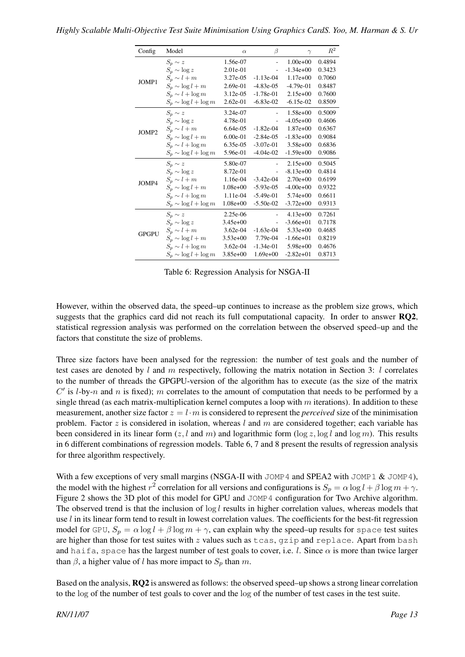| Config       | Model                      | $\alpha$     | β              | $\gamma$      | $R^2$  |
|--------------|----------------------------|--------------|----------------|---------------|--------|
|              | $S_p \sim z$               | 1.56e-07     | $\overline{a}$ | $1.00e + 00$  | 0.4894 |
|              | $S_p \sim \log z$          | 2.01e-01     |                | $-1.34e+00$   | 0.3423 |
| JOMP1        | $S_p \sim l+m$             | 3.27e-05     | $-1.13e-04$    | $1.17e+00$    | 0.7060 |
|              | $S_p \sim \log l + m$      | $2.69e-01$   | $-4.83e-05$    | $-4.79e-01$   | 0.8487 |
|              | $S_p \sim l + \log m$      | $3.12e-05$   | $-1.78e-01$    | $2.15e+00$    | 0.7600 |
|              | $S_n \sim \log l + \log m$ | $2.62e-01$   | $-6.83e-02$    | $-6.15e-02$   | 0.8509 |
|              | $S_p \sim z$               | 3.24e-07     |                | $1.58e+00$    | 0.5009 |
|              | $S_p \sim \log z$          | 4.78e-01     |                | $-4.05e+00$   | 0.4606 |
| JOMP2        | $S_p \sim l+m$             | $6.64e-0.5$  | $-1.82e-04$    | $1.87e+00$    | 0.6367 |
|              | $S_p \sim \log l + m$      | $6.00e-01$   | $-2.84e-0.5$   | $-1.83e+00$   | 0.9084 |
|              | $S_n \sim l + \log m$      | 6.35e-05     | $-3.07e-01$    | $3.58e+00$    | 0.6836 |
|              | $S_p \sim \log l + \log m$ | 5.96e-01     | $-4.04e-02$    | $-1.59e+00$   | 0.9086 |
|              | $S_p \sim z$               | 5.80e-07     |                | $2.15e+00$    | 0.5045 |
|              | $S_p \sim \log z$          | 8.72e-01     |                | $-8.13e+00$   | 0.4814 |
| JOMP4        | $S_n \sim l+m$             | 1.16e-04     | $-3.42e-04$    | $2.70e+0.0$   | 0.6199 |
|              | $S_p \sim \log l + m$      | $1.08e+00$   | $-5.93e-05$    | $-4.00e+00$   | 0.9322 |
|              | $S_p \sim l + \log m$      | 1.11e-04     | $-5.49e-01$    | $5.74e+00$    | 0.6611 |
|              | $S_p \sim \log l + \log m$ | $1.08e + 00$ | $-5.50e-02$    | $-3.72e+00$   | 0.9313 |
|              | $S_p \sim z$               | 2.25e-06     |                | $4.13e+00$    | 0.7261 |
|              | $S_p \sim \log z$          | $3.45e+00$   |                | $-3.66e + 01$ | 0.7178 |
| <b>GPGPU</b> | $S_p \sim l+m$             | $3.62e-04$   | $-1.63e-04$    | $5.33e+00$    | 0.4685 |
|              | $S_p \sim \log l + m$      | $3.53e+00$   | 7.79e-04       | $-1.66e + 01$ | 0.8219 |
|              | $S_p \sim l + \log m$      | $3.62e-04$   | $-1.34e-01$    | $5.98e+00$    | 0.4676 |
|              | $S_n \sim \log l + \log m$ | $3.85e+00$   | $1.69e+00$     | $-2.82e+01$   | 0.8713 |

Table 6: Regression Analysis for NSGA-II

However, within the observed data, the speed–up continues to increase as the problem size grows, which suggests that the graphics card did not reach its full computational capacity. In order to answer RQ2, statistical regression analysis was performed on the correlation between the observed speed–up and the factors that constitute the size of problems.

Three size factors have been analysed for the regression: the number of test goals and the number of test cases are denoted by  $l$  and  $m$  respectively, following the matrix notation in Section 3:  $l$  correlates to the number of threads the GPGPU-version of the algorithm has to execute (as the size of the matrix  $C'$  is *l*-by-n and n is fixed); m correlates to the amount of computation that needs to be performed by a single thread (as each matrix-multiplication kernel computes a loop with  $m$  iterations). In addition to these measurement, another size factor  $z = l \cdot m$  is considered to represent the *perceived* size of the minimisation problem. Factor  $z$  is considered in isolation, whereas  $l$  and  $m$  are considered together; each variable has been considered in its linear form  $(z, l \text{ and } m)$  and logarithmic form  $(\log z, \log l \text{ and } \log m)$ . This results in 6 different combinations of regression models. Table 6, 7 and 8 present the results of regression analysis for three algorithm respectively.

With a few exceptions of very small margins (NSGA-II with JOMP4 and SPEA2 with JOMP1 & JOMP4), the model with the highest  $r^2$  correlation for all versions and configurations is  $S_p = \alpha \log l + \beta \log m + \gamma$ . Figure 2 shows the 3D plot of this model for GPU and JOMP4 configuration for Two Archive algorithm. The observed trend is that the inclusion of  $\log l$  results in higher correlation values, whereas models that use *l* in its linear form tend to result in lowest correlation values. The coefficients for the best-fit regression model for GPU,  $S_p = \alpha \log l + \beta \log m + \gamma$ , can explain why the speed–up results for space test suites are higher than those for test suites with  $z$  values such as tcas, gzip and replace. Apart from bash and haifa, space has the largest number of test goals to cover, i.e. l. Since  $\alpha$  is more than twice larger than  $\beta$ , a higher value of l has more impact to  $S_p$  than m.

Based on the analysis, RQ2 is answered as follows: the observed speed–up shows a strong linear correlation to the log of the number of test goals to cover and the log of the number of test cases in the test suite.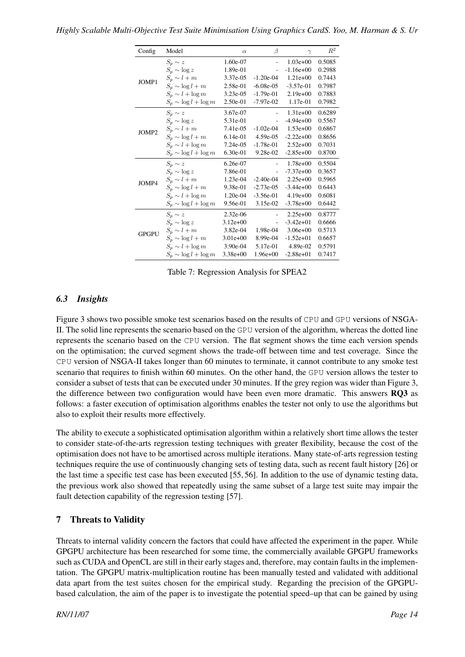| Config       | Model                      | $\alpha$     | β              | $\gamma$     | $\mathbb{R}^2$ |
|--------------|----------------------------|--------------|----------------|--------------|----------------|
|              | $S_p \sim z$               | 1.60e-07     | $\overline{a}$ | $1.03e+00$   | 0.5085         |
|              | $S_p \sim \log z$          | 1.89e-01     |                | $-1.16e+00$  | 0.2988         |
| JOMP1        | $S_p \sim l+m$             | 3.37e-05     | $-1.20e-04$    | $1.21e+00$   | 0.7443         |
|              | $S_p \sim \log l + m$      | 2.58e-01     | $-6.08e-05$    | $-3.57e-01$  | 0.7987         |
|              | $S_p \sim l + \log m$      | $3.23e-05$   | $-1.79e-01$    | $2.19e+00$   | 0.7883         |
|              | $S_p \sim \log l + \log m$ | $2.50e-01$   | $-7.97e-02$    | 1.17e-01     | 0.7982         |
|              | $S_n \sim z$               | 3.67e-07     |                | $1.31e+00$   | 0.6289         |
|              | $S_p \sim \log z$          | 5.31e-01     |                | $-4.94e+00$  | 0.5567         |
| JOMP2        | $S_p \sim l+m$             | 7.41e-05     | $-1.02e-04$    | $1.53e+00$   | 0.6867         |
|              | $S_p \sim \log l + m$      | $6.14e-01$   | 4.59e-05       | $-2.22e+00$  | 0.8656         |
|              | $S_p \sim l + \log m$      | $7.24e-05$   | $-1.78e-01$    | $2.52e+00$   | 0.7031         |
|              | $S_p \sim \log l + \log m$ | $6.30e-01$   | $9.28e-02$     | $-2.85e+00$  | 0.8700         |
|              | $S_p \sim z$               | 6.26e-07     |                | $1.78e+00$   | 0.5504         |
|              | $S_p \sim \log z$          | 7.86e-01     |                | $-7.37e+00$  | 0.3657         |
| JOMP4        | $S_p \sim l+m$             | 1.23e-04     | $-2.40e-04$    | $2.25e+00$   | 0.5965         |
|              | $S_n \sim \log l + m$      | 9.38e-01     | $-2.73e-0.5$   | $-3.44e+00$  | 0.6443         |
|              | $S_n \sim l + \log m$      | $1.20e-04$   | $-3.56e-01$    | $4.19e+00$   | 0.6081         |
|              | $S_p \sim \log l + \log m$ | 9.56e-01     | 3.15e-02       | $-3.78e+00$  | 0.6442         |
|              | $S_p \sim z$               | $2.32e-06$   |                | $2.25e+00$   | 0.8777         |
|              | $S_p \sim \log z$          | $3.12e + 00$ |                | $-3.42e+01$  | 0.6666         |
| <b>GPGPU</b> | $S_p \sim l+m$             | 3.82e-04     | 1.98e-04       | $3.06e + 00$ | 0.5713         |
|              | $S_p \sim \log l + m$      | $3.01e+00$   | 8.99e-04       | $-1.52e+01$  | 0.6657         |
|              | $S_p \sim l + \log m$      | 3.90e-04     | 5.17e-01       | 4.89e-02     | 0.5791         |
|              | $S_p \sim \log l + \log m$ | $3.38e + 00$ | $1.96e+00$     | $-2.88e+01$  | 0.7417         |

Table 7: Regression Analysis for SPEA2

# *6.3 Insights*

Figure 3 shows two possible smoke test scenarios based on the results of CPU and GPU versions of NSGA-II. The solid line represents the scenario based on the GPU version of the algorithm, whereas the dotted line represents the scenario based on the CPU version. The flat segment shows the time each version spends on the optimisation; the curved segment shows the trade-off between time and test coverage. Since the CPU version of NSGA-II takes longer than 60 minutes to terminate, it cannot contribute to any smoke test scenario that requires to finish within 60 minutes. On the other hand, the GPU version allows the tester to consider a subset of tests that can be executed under 30 minutes. If the grey region was wider than Figure 3, the difference between two configuration would have been even more dramatic. This answers RQ3 as follows: a faster execution of optimisation algorithms enables the tester not only to use the algorithms but also to exploit their results more effectively.

The ability to execute a sophisticated optimisation algorithm within a relatively short time allows the tester to consider state-of-the-arts regression testing techniques with greater flexibility, because the cost of the optimisation does not have to be amortised across multiple iterations. Many state-of-arts regression testing techniques require the use of continuously changing sets of testing data, such as recent fault history [26] or the last time a specific test case has been executed [55, 56]. In addition to the use of dynamic testing data, the previous work also showed that repeatedly using the same subset of a large test suite may impair the fault detection capability of the regression testing [57].

### 7 Threats to Validity

Threats to internal validity concern the factors that could have affected the experiment in the paper. While GPGPU architecture has been researched for some time, the commercially available GPGPU frameworks such as CUDA and OpenCL are still in their early stages and, therefore, may contain faults in the implementation. The GPGPU matrix-multiplication routine has been manually tested and validated with additional data apart from the test suites chosen for the empirical study. Regarding the precision of the GPGPUbased calculation, the aim of the paper is to investigate the potential speed–up that can be gained by using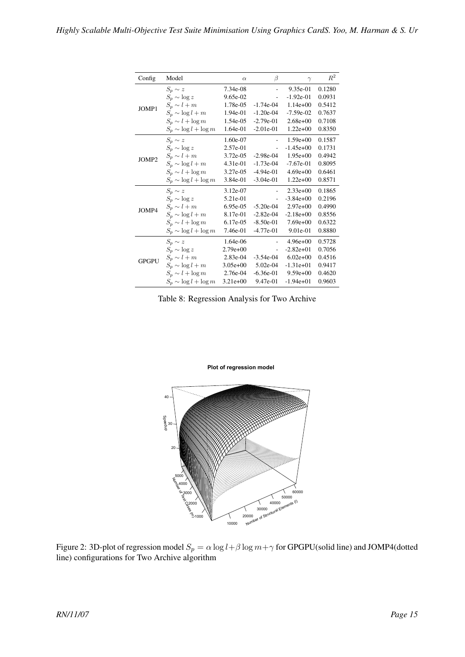| Config       | Model                      | $\alpha$   | β           | $\gamma$     | $R^2$  |
|--------------|----------------------------|------------|-------------|--------------|--------|
|              | $S_p \sim z$               | 7.34e-08   | L,          | $9.35e-01$   | 0.1280 |
|              | $S_p \sim \log z$          | 9.65e-02   | ÷,          | $-1.92e-01$  | 0.0931 |
| JOMP1        | $S_p \sim l+m$             | 1.78e-05   | $-1.74e-04$ | $1.14e+00$   | 0.5412 |
|              | $S_p \sim \log l + m$      | 1.94e-01   | $-1.20e-04$ | $-7.59e-02$  | 0.7637 |
|              | $S_p \sim l + \log m$      | 1.54e-05   | $-2.79e-01$ | $2.68e+00$   | 0.7108 |
|              | $S_p \sim \log l + \log m$ | 1.64e-01   | $-2.01e-01$ | $1.22e+00$   | 0.8350 |
|              | $S_p \sim z$               | 1.60e-07   |             | $1.59e+00$   | 0.1587 |
|              | $S_p \sim \log z$          | 2.57e-01   |             | $-1.45e+00$  | 0.1731 |
| JOMP2        | $S_p \sim l+m$             | 3.72e-05   | $-2.98e-04$ | $1.95e+00$   | 0.4942 |
|              | $S_p \sim \log l + m$      | $4.31e-01$ | $-1.73e-04$ | $-7.67e-01$  | 0.8095 |
|              | $S_n \sim l + \log m$      | 3.27e-05   | $-4.94e-01$ | $4.69e+00$   | 0.6461 |
|              | $S_p \sim \log l + \log m$ | 3.84e-01   | $-3.04e-01$ | $1.22e+00$   | 0.8571 |
|              | $S_p \sim z$               | 3.12e-07   |             | $2.33e+00$   | 0.1865 |
|              | $S_p \sim \log z$          | 5.21e-01   |             | $-3.84e+00$  | 0.2196 |
| JOMP4        | $S_p \sim l+m$             | 6.95e-05   | $-5.20e-04$ | $2.97e+00$   | 0.4990 |
|              | $S_p \sim \log l + m$      | 8.17e-01   | $-2.82e-04$ | $-2.18e+00$  | 0.8556 |
|              | $S_p \sim l + \log m$      | 6.17e-05   | $-8.50e-01$ | $7.69e+00$   | 0.6322 |
|              | $S_p \sim \log l + \log m$ | 7.46e-01   | $-4.77e-01$ | 9.01e-01     | 0.8880 |
|              | $S_p \sim z$               | 1.64e-06   |             | $4.96e + 00$ | 0.5728 |
|              | $S_p \sim \log z$          | $2.79e+00$ | ÷,          | $-2.82e+01$  | 0.7056 |
| <b>GPGPU</b> | $S_p \sim l+m$             | 2.83e-04   | $-3.54e-04$ | $6.02e+00$   | 0.4516 |
|              | $S_p \sim \log l + m$      | $3.05e+00$ | 5.02e-04    | $-1.31e+01$  | 0.9417 |
|              | $S_p \sim l + \log m$      | 2.76e-04   | $-6.36e-01$ | $9.59e+00$   | 0.4620 |
|              | $S_p \sim \log l + \log m$ | $3.21e+00$ | 9.47e-01    | $-1.94e+01$  | 0.9603 |

Table 8: Regression Analysis for Two Archive

**Plot of regression model** 



Figure 2: 3D-plot of regression model  $S_p = \alpha \log l + \beta \log m + \gamma$  for GPGPU(solid line) and JOMP4(dotted line) configurations for Two Archive algorithm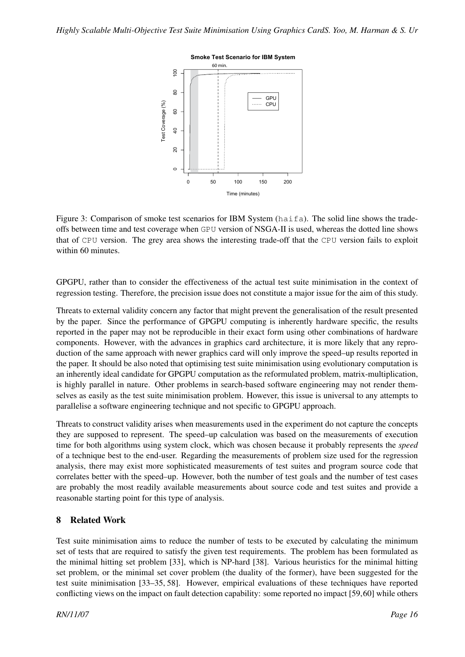

Figure 3: Comparison of smoke test scenarios for IBM System (haifa). The solid line shows the tradeoffs between time and test coverage when GPU version of NSGA-II is used, whereas the dotted line shows that of CPU version. The grey area shows the interesting trade-off that the CPU version fails to exploit within 60 minutes.

GPGPU, rather than to consider the effectiveness of the actual test suite minimisation in the context of regression testing. Therefore, the precision issue does not constitute a major issue for the aim of this study.

Threats to external validity concern any factor that might prevent the generalisation of the result presented by the paper. Since the performance of GPGPU computing is inherently hardware specific, the results reported in the paper may not be reproducible in their exact form using other combinations of hardware components. However, with the advances in graphics card architecture, it is more likely that any reproduction of the same approach with newer graphics card will only improve the speed–up results reported in the paper. It should be also noted that optimising test suite minimisation using evolutionary computation is an inherently ideal candidate for GPGPU computation as the reformulated problem, matrix-multiplication, is highly parallel in nature. Other problems in search-based software engineering may not render themselves as easily as the test suite minimisation problem. However, this issue is universal to any attempts to parallelise a software engineering technique and not specific to GPGPU approach.

Threats to construct validity arises when measurements used in the experiment do not capture the concepts they are supposed to represent. The speed–up calculation was based on the measurements of execution time for both algorithms using system clock, which was chosen because it probably represents the *speed* of a technique best to the end-user. Regarding the measurements of problem size used for the regression analysis, there may exist more sophisticated measurements of test suites and program source code that correlates better with the speed–up. However, both the number of test goals and the number of test cases are probably the most readily available measurements about source code and test suites and provide a reasonable starting point for this type of analysis.

### 8 Related Work

Test suite minimisation aims to reduce the number of tests to be executed by calculating the minimum set of tests that are required to satisfy the given test requirements. The problem has been formulated as the minimal hitting set problem [33], which is NP-hard [38]. Various heuristics for the minimal hitting set problem, or the minimal set cover problem (the duality of the former), have been suggested for the test suite minimisation [33–35, 58]. However, empirical evaluations of these techniques have reported conflicting views on the impact on fault detection capability: some reported no impact [59,60] while others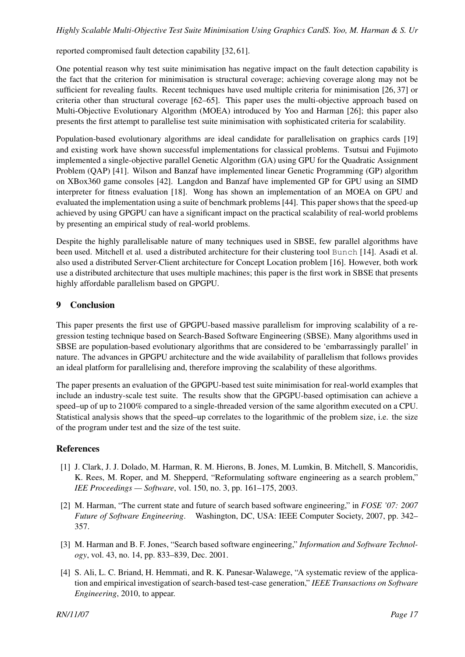reported compromised fault detection capability [32, 61].

One potential reason why test suite minimisation has negative impact on the fault detection capability is the fact that the criterion for minimisation is structural coverage; achieving coverage along may not be sufficient for revealing faults. Recent techniques have used multiple criteria for minimisation [26, 37] or criteria other than structural coverage [62–65]. This paper uses the multi-objective approach based on Multi-Objective Evolutionary Algorithm (MOEA) introduced by Yoo and Harman [26]; this paper also presents the first attempt to parallelise test suite minimisation with sophisticated criteria for scalability.

Population-based evolutionary algorithms are ideal candidate for parallelisation on graphics cards [19] and existing work have shown successful implementations for classical problems. Tsutsui and Fujimoto implemented a single-objective parallel Genetic Algorithm (GA) using GPU for the Quadratic Assignment Problem (QAP) [41]. Wilson and Banzaf have implemented linear Genetic Programming (GP) algorithm on XBox360 game consoles [42]. Langdon and Banzaf have implemented GP for GPU using an SIMD interpreter for fitness evaluation [18]. Wong has shown an implementation of an MOEA on GPU and evaluated the implementation using a suite of benchmark problems [44]. This paper shows that the speed-up achieved by using GPGPU can have a significant impact on the practical scalability of real-world problems by presenting an empirical study of real-world problems.

Despite the highly parallelisable nature of many techniques used in SBSE, few parallel algorithms have been used. Mitchell et al. used a distributed architecture for their clustering tool Bunch [14]. Asadi et al. also used a distributed Server-Client architecture for Concept Location problem [16]. However, both work use a distributed architecture that uses multiple machines; this paper is the first work in SBSE that presents highly affordable parallelism based on GPGPU.

#### 9 Conclusion

This paper presents the first use of GPGPU-based massive parallelism for improving scalability of a regression testing technique based on Search-Based Software Engineering (SBSE). Many algorithms used in SBSE are population-based evolutionary algorithms that are considered to be 'embarrassingly parallel' in nature. The advances in GPGPU architecture and the wide availability of parallelism that follows provides an ideal platform for parallelising and, therefore improving the scalability of these algorithms.

The paper presents an evaluation of the GPGPU-based test suite minimisation for real-world examples that include an industry-scale test suite. The results show that the GPGPU-based optimisation can achieve a speed–up of up to 2100% compared to a single-threaded version of the same algorithm executed on a CPU. Statistical analysis shows that the speed–up correlates to the logarithmic of the problem size, i.e. the size of the program under test and the size of the test suite.

### References

- [1] J. Clark, J. J. Dolado, M. Harman, R. M. Hierons, B. Jones, M. Lumkin, B. Mitchell, S. Mancoridis, K. Rees, M. Roper, and M. Shepperd, "Reformulating software engineering as a search problem," *IEE Proceedings — Software*, vol. 150, no. 3, pp. 161–175, 2003.
- [2] M. Harman, "The current state and future of search based software engineering," in *FOSE '07: 2007 Future of Software Engineering*. Washington, DC, USA: IEEE Computer Society, 2007, pp. 342– 357.
- [3] M. Harman and B. F. Jones, "Search based software engineering," *Information and Software Technology*, vol. 43, no. 14, pp. 833–839, Dec. 2001.
- [4] S. Ali, L. C. Briand, H. Hemmati, and R. K. Panesar-Walawege, "A systematic review of the application and empirical investigation of search-based test-case generation," *IEEE Transactions on Software Engineering*, 2010, to appear.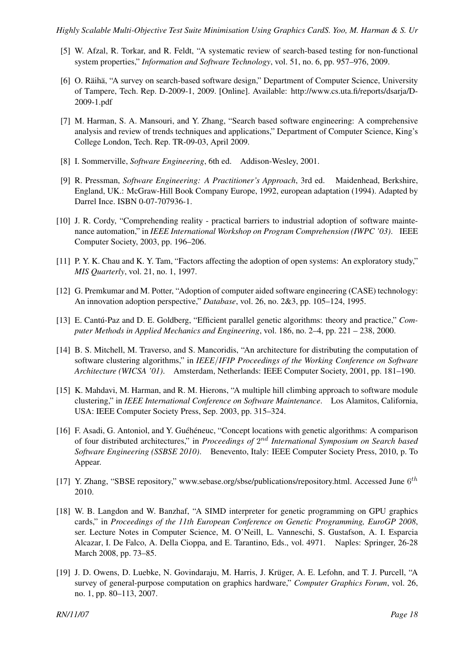- [5] W. Afzal, R. Torkar, and R. Feldt, "A systematic review of search-based testing for non-functional system properties," *Information and Software Technology*, vol. 51, no. 6, pp. 957–976, 2009.
- [6] O. Räihä, "A survey on search-based software design," Department of Computer Science, University of Tampere, Tech. Rep. D-2009-1, 2009. [Online]. Available: http://www.cs.uta.fi/reports/dsarja/D-2009-1.pdf
- [7] M. Harman, S. A. Mansouri, and Y. Zhang, "Search based software engineering: A comprehensive analysis and review of trends techniques and applications," Department of Computer Science, King's College London, Tech. Rep. TR-09-03, April 2009.
- [8] I. Sommerville, *Software Engineering*, 6th ed. Addison-Wesley, 2001.
- [9] R. Pressman, *Software Engineering: A Practitioner's Approach*, 3rd ed. Maidenhead, Berkshire, England, UK.: McGraw-Hill Book Company Europe, 1992, european adaptation (1994). Adapted by Darrel Ince. ISBN 0-07-707936-1.
- [10] J. R. Cordy, "Comprehending reality practical barriers to industrial adoption of software maintenance automation," in *IEEE International Workshop on Program Comprehension (IWPC '03)*. IEEE Computer Society, 2003, pp. 196–206.
- [11] P. Y. K. Chau and K. Y. Tam, "Factors affecting the adoption of open systems: An exploratory study," *MIS Quarterly*, vol. 21, no. 1, 1997.
- [12] G. Premkumar and M. Potter, "Adoption of computer aided software engineering (CASE) technology: An innovation adoption perspective," *Database*, vol. 26, no. 2&3, pp. 105–124, 1995.
- [13] E. Cantu-Paz and D. E. Goldberg, "Efficient parallel genetic algorithms: theory and practice," ´ *Computer Methods in Applied Mechanics and Engineering*, vol. 186, no. 2–4, pp. 221 – 238, 2000.
- [14] B. S. Mitchell, M. Traverso, and S. Mancoridis, "An architecture for distributing the computation of software clustering algorithms," in *IEEE*/*IFIP Proceedings of the Working Conference on Software Architecture (WICSA '01)*. Amsterdam, Netherlands: IEEE Computer Society, 2001, pp. 181–190.
- [15] K. Mahdavi, M. Harman, and R. M. Hierons, "A multiple hill climbing approach to software module clustering," in *IEEE International Conference on Software Maintenance*. Los Alamitos, California, USA: IEEE Computer Society Press, Sep. 2003, pp. 315–324.
- [16] F. Asadi, G. Antoniol, and Y. Guéhéneuc, "Concept locations with genetic algorithms: A comparison of four distributed architectures," in *Proceedings of*  $2^{nd}$  *International Symposium on Search based Software Engineering (SSBSE 2010)*. Benevento, Italy: IEEE Computer Society Press, 2010, p. To Appear.
- [17] Y. Zhang, "SBSE repository," www.sebase.org/sbse/publications/repository.html. Accessed June 6<sup>th</sup> 2010.
- [18] W. B. Langdon and W. Banzhaf, "A SIMD interpreter for genetic programming on GPU graphics cards," in *Proceedings of the 11th European Conference on Genetic Programming, EuroGP 2008*, ser. Lecture Notes in Computer Science, M. O'Neill, L. Vanneschi, S. Gustafson, A. I. Esparcia Alcazar, I. De Falco, A. Della Cioppa, and E. Tarantino, Eds., vol. 4971. Naples: Springer, 26-28 March 2008, pp. 73–85.
- [19] J. D. Owens, D. Luebke, N. Govindaraju, M. Harris, J. Krüger, A. E. Lefohn, and T. J. Purcell, "A survey of general-purpose computation on graphics hardware," *Computer Graphics Forum*, vol. 26, no. 1, pp. 80–113, 2007.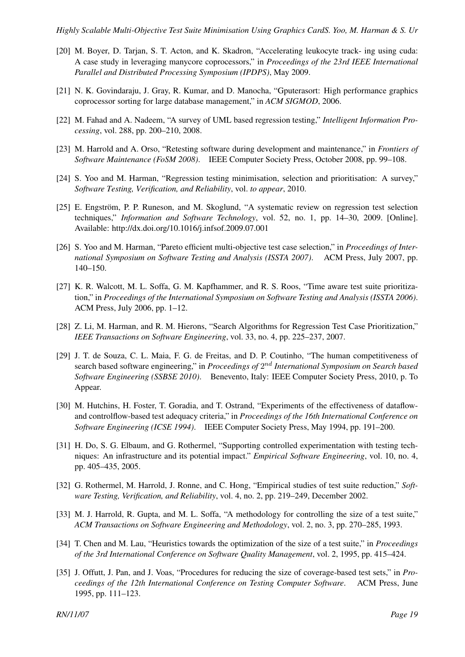- [20] M. Boyer, D. Tarjan, S. T. Acton, and K. Skadron, "Accelerating leukocyte track- ing using cuda: A case study in leveraging manycore coprocessors," in *Proceedings of the 23rd IEEE International Parallel and Distributed Processing Symposium (IPDPS)*, May 2009.
- [21] N. K. Govindaraju, J. Gray, R. Kumar, and D. Manocha, "Gputerasort: High performance graphics coprocessor sorting for large database management," in *ACM SIGMOD*, 2006.
- [22] M. Fahad and A. Nadeem, "A survey of UML based regression testing," *Intelligent Information Processing*, vol. 288, pp. 200–210, 2008.
- [23] M. Harrold and A. Orso, "Retesting software during development and maintenance," in *Frontiers of Software Maintenance (FoSM 2008)*. IEEE Computer Society Press, October 2008, pp. 99–108.
- [24] S. Yoo and M. Harman, "Regression testing minimisation, selection and prioritisation: A survey," *Software Testing, Verification, and Reliability*, vol. *to appear*, 2010.
- [25] E. Engström, P. P. Runeson, and M. Skoglund, "A systematic review on regression test selection techniques," *Information and Software Technology*, vol. 52, no. 1, pp. 14–30, 2009. [Online]. Available: http://dx.doi.org/10.1016/j.infsof.2009.07.001
- [26] S. Yoo and M. Harman, "Pareto efficient multi-objective test case selection," in *Proceedings of International Symposium on Software Testing and Analysis (ISSTA 2007)*. ACM Press, July 2007, pp. 140–150.
- [27] K. R. Walcott, M. L. Soffa, G. M. Kapfhammer, and R. S. Roos, "Time aware test suite prioritization," in *Proceedings of the International Symposium on Software Testing and Analysis (ISSTA 2006)*. ACM Press, July 2006, pp. 1–12.
- [28] Z. Li, M. Harman, and R. M. Hierons, "Search Algorithms for Regression Test Case Prioritization," *IEEE Transactions on Software Engineering*, vol. 33, no. 4, pp. 225–237, 2007.
- [29] J. T. de Souza, C. L. Maia, F. G. de Freitas, and D. P. Coutinho, "The human competitiveness of search based software engineering," in *Proceedings of*  $2^{nd}$  *International Symposium on Search based Software Engineering (SSBSE 2010)*. Benevento, Italy: IEEE Computer Society Press, 2010, p. To Appear.
- [30] M. Hutchins, H. Foster, T. Goradia, and T. Ostrand, "Experiments of the effectiveness of dataflowand controlflow-based test adequacy criteria," in *Proceedings of the 16th International Conference on Software Engineering (ICSE 1994)*. IEEE Computer Society Press, May 1994, pp. 191–200.
- [31] H. Do, S. G. Elbaum, and G. Rothermel, "Supporting controlled experimentation with testing techniques: An infrastructure and its potential impact." *Empirical Software Engineering*, vol. 10, no. 4, pp. 405–435, 2005.
- [32] G. Rothermel, M. Harrold, J. Ronne, and C. Hong, "Empirical studies of test suite reduction," *Software Testing, Verification, and Reliability*, vol. 4, no. 2, pp. 219–249, December 2002.
- [33] M. J. Harrold, R. Gupta, and M. L. Soffa, "A methodology for controlling the size of a test suite," *ACM Transactions on Software Engineering and Methodology*, vol. 2, no. 3, pp. 270–285, 1993.
- [34] T. Chen and M. Lau, "Heuristics towards the optimization of the size of a test suite," in *Proceedings of the 3rd International Conference on Software Quality Management*, vol. 2, 1995, pp. 415–424.
- [35] J. Offutt, J. Pan, and J. Voas, "Procedures for reducing the size of coverage-based test sets," in *Proceedings of the 12th International Conference on Testing Computer Software*. ACM Press, June 1995, pp. 111–123.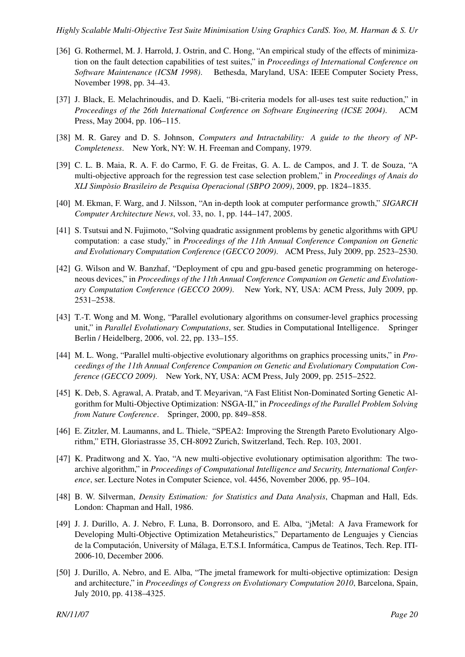- [36] G. Rothermel, M. J. Harrold, J. Ostrin, and C. Hong, "An empirical study of the effects of minimization on the fault detection capabilities of test suites," in *Proceedings of International Conference on Software Maintenance (ICSM 1998)*. Bethesda, Maryland, USA: IEEE Computer Society Press, November 1998, pp. 34–43.
- [37] J. Black, E. Melachrinoudis, and D. Kaeli, "Bi-criteria models for all-uses test suite reduction," in *Proceedings of the 26th International Conference on Software Engineering (ICSE 2004)*. ACM Press, May 2004, pp. 106–115.
- [38] M. R. Garey and D. S. Johnson, *Computers and Intractability: A guide to the theory of NP-Completeness*. New York, NY: W. H. Freeman and Company, 1979.
- [39] C. L. B. Maia, R. A. F. do Carmo, F. G. de Freitas, G. A. L. de Campos, and J. T. de Souza, "A multi-objective approach for the regression test case selection problem," in *Proceedings of Anais do XLI Simposio Brasileiro de Pesquisa Operacional (SBPO 2009) `* , 2009, pp. 1824–1835.
- [40] M. Ekman, F. Warg, and J. Nilsson, "An in-depth look at computer performance growth," *SIGARCH Computer Architecture News*, vol. 33, no. 1, pp. 144–147, 2005.
- [41] S. Tsutsui and N. Fujimoto, "Solving quadratic assignment problems by genetic algorithms with GPU computation: a case study," in *Proceedings of the 11th Annual Conference Companion on Genetic and Evolutionary Computation Conference (GECCO 2009)*. ACM Press, July 2009, pp. 2523–2530.
- [42] G. Wilson and W. Banzhaf, "Deployment of cpu and gpu-based genetic programming on heterogeneous devices," in *Proceedings of the 11th Annual Conference Companion on Genetic and Evolutionary Computation Conference (GECCO 2009)*. New York, NY, USA: ACM Press, July 2009, pp. 2531–2538.
- [43] T.-T. Wong and M. Wong, "Parallel evolutionary algorithms on consumer-level graphics processing unit," in *Parallel Evolutionary Computations*, ser. Studies in Computational Intelligence. Springer Berlin / Heidelberg, 2006, vol. 22, pp. 133–155.
- [44] M. L. Wong, "Parallel multi-objective evolutionary algorithms on graphics processing units," in *Proceedings of the 11th Annual Conference Companion on Genetic and Evolutionary Computation Conference (GECCO 2009)*. New York, NY, USA: ACM Press, July 2009, pp. 2515–2522.
- [45] K. Deb, S. Agrawal, A. Pratab, and T. Meyarivan, "A Fast Elitist Non-Dominated Sorting Genetic Algorithm for Multi-Objective Optimization: NSGA-II," in *Proceedings of the Parallel Problem Solving from Nature Conference*. Springer, 2000, pp. 849–858.
- [46] E. Zitzler, M. Laumanns, and L. Thiele, "SPEA2: Improving the Strength Pareto Evolutionary Algorithm," ETH, Gloriastrasse 35, CH-8092 Zurich, Switzerland, Tech. Rep. 103, 2001.
- [47] K. Praditwong and X. Yao, "A new multi-objective evolutionary optimisation algorithm: The twoarchive algorithm," in *Proceedings of Computational Intelligence and Security, International Conference*, ser. Lecture Notes in Computer Science, vol. 4456, November 2006, pp. 95–104.
- [48] B. W. Silverman, *Density Estimation: for Statistics and Data Analysis*, Chapman and Hall, Eds. London: Chapman and Hall, 1986.
- [49] J. J. Durillo, A. J. Nebro, F. Luna, B. Dorronsoro, and E. Alba, "jMetal: A Java Framework for Developing Multi-Objective Optimization Metaheuristics," Departamento de Lenguajes y Ciencias de la Computación, University of Málaga, E.T.S.I. Informática, Campus de Teatinos, Tech. Rep. ITI-2006-10, December 2006.
- [50] J. Durillo, A. Nebro, and E. Alba, "The jmetal framework for multi-objective optimization: Design and architecture," in *Proceedings of Congress on Evolutionary Computation 2010*, Barcelona, Spain, July 2010, pp. 4138–4325.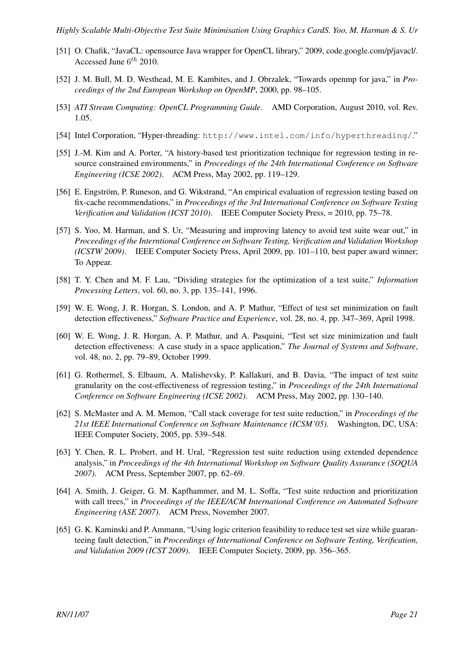- [51] O. Chafik, "JavaCL: opensource Java wrapper for OpenCL library," 2009, code.google.com/p/javacl/. Accessed June  $6^{th}$  2010.
- [52] J. M. Bull, M. D. Westhead, M. E. Kambites, and J. Obrzalek, "Towards openmp for java," in *Proceedings of the 2nd European Workshop on OpenMP*, 2000, pp. 98–105.
- [53] *ATI Stream Computing: OpenCL Programming Guide*. AMD Corporation, August 2010, vol. Rev. 1.05.
- [54] Intel Corporation, "Hyper-threading: http://www.intel.com/info/hyperthreading/."
- [55] J.-M. Kim and A. Porter, "A history-based test prioritization technique for regression testing in resource constrained environments," in *Proceedings of the 24th International Conference on Software Engineering (ICSE 2002)*. ACM Press, May 2002, pp. 119–129.
- [56] E. Engström, P. Runeson, and G. Wikstrand, "An empirical evaluation of regression testing based on fix-cache recommendations," in *Proceedings of the 3rd International Conference on Software Testing Verification and Validation (ICST 2010)*. IEEE Computer Society Press, = 2010, pp. 75–78.
- [57] S. Yoo, M. Harman, and S. Ur, "Measuring and improving latency to avoid test suite wear out," in *Proceedings of the Interntional Conference on Software Testing, Verification and Validation Workshop (ICSTW 2009)*. IEEE Computer Society Press, April 2009, pp. 101–110, best paper award winner; To Appear.
- [58] T. Y. Chen and M. F. Lau, "Dividing strategies for the optimization of a test suite," *Information Processing Letters*, vol. 60, no. 3, pp. 135–141, 1996.
- [59] W. E. Wong, J. R. Horgan, S. London, and A. P. Mathur, "Effect of test set minimization on fault detection effectiveness," *Software Practice and Experience*, vol. 28, no. 4, pp. 347–369, April 1998.
- [60] W. E. Wong, J. R. Horgan, A. P. Mathur, and A. Pasquini, "Test set size minimization and fault detection effectiveness: A case study in a space application," *The Journal of Systems and Software*, vol. 48, no. 2, pp. 79–89, October 1999.
- [61] G. Rothermel, S. Elbaum, A. Malishevsky, P. Kallakuri, and B. Davia, "The impact of test suite granularity on the cost-effectiveness of regression testing," in *Proceedings of the 24th International Conference on Software Engineering (ICSE 2002)*. ACM Press, May 2002, pp. 130–140.
- [62] S. McMaster and A. M. Memon, "Call stack coverage for test suite reduction," in *Proceedings of the 21st IEEE International Conference on Software Maintenance (ICSM'05)*. Washington, DC, USA: IEEE Computer Society, 2005, pp. 539–548.
- [63] Y. Chen, R. L. Probert, and H. Ural, "Regression test suite reduction using extended dependence analysis," in *Proceedings of the 4th International Workshop on Software Quality Assurance (SOQUA 2007)*. ACM Press, September 2007, pp. 62–69.
- [64] A. Smith, J. Geiger, G. M. Kapfhammer, and M. L. Soffa, "Test suite reduction and prioritization with call trees," in *Proceedings of the IEEE/ACM International Conference on Automated Software Engineering (ASE 2007)*. ACM Press, November 2007.
- [65] G. K. Kaminski and P. Ammann, "Using logic criterion feasibility to reduce test set size while guaranteeing fault detection," in *Proceedings of International Conference on Software Testing, Verification, and Validation 2009 (ICST 2009)*. IEEE Computer Society, 2009, pp. 356–365.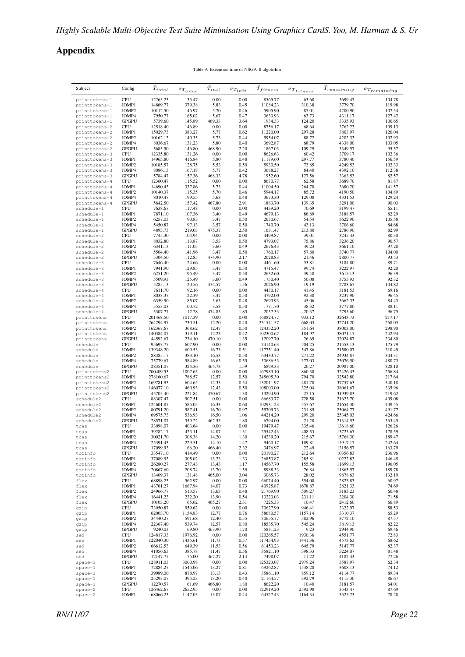# Appendix

Table 9: Execution time of NSGA-II algotirhm

| Subject                        | Config                     | $\bar{T}_{total}$      | $\sigma_{Total}$  | $T_{init}$     | $\sigma_{T_{init}}$ | $T_{fitness}$          | $\sigma_{T_{fitness}}$ | $T_{remaining}$      | $\sigma_{Tremaining}$ |
|--------------------------------|----------------------------|------------------------|-------------------|----------------|---------------------|------------------------|------------------------|----------------------|-----------------------|
| printtokens-1                  | <b>CPU</b>                 | 12265.23               | 133.47            | 0.00           | 0.00                | 8565.77                | 63.68                  | 3699.47              | 104.78                |
| printtokens-1                  | JOMP1                      | 14869.77               | 379.38            | 5.83           | 0.45                | 11084.23               | 310.38                 | 3779.70              | 119.98                |
| printtokens-1                  | JOMP2                      | 10112.50               | 146.97            | 5.70           | 0.46                | 5905.90                | 87.01                  | 4200.90              | 107.54                |
| printtokens-1                  | JOMP4                      | 7950.77                | 165.02            | 5.67           | 0.47                | 3633.93                | 63.73                  | 4311.17              | 127.42                |
| printtokens-1                  | <b>GPGPU</b>               | 5739.60                | 145.89            | 469.33         | 3.64                | 1934.33                | 124.20                 | 3335.93              | 100.65                |
| printtokens-2                  | <b>CPU</b>                 | 12518.40               | 146.89            | 0.00           | 0.00                | 8756.17                | 68.64                  | 3762.23              | 109.13<br>120.04      |
| printtokens-2<br>printtokens-2 | JOMP1<br>JOMP <sub>2</sub> | 15029.73<br>10162.13   | 383.27<br>140.35  | 5.77<br>5.73   | 0.62<br>0.44        | 11220.00<br>5954.07    | 297.28<br>88.72        | 3803.97<br>4202.33   | 102.93                |
| printtokens-2                  | JOMP4                      | 8036.67                | 131.23            | 5.80           | 0.40                | 3692.87                | 68.79                  | 4338.00              | 103.05                |
| printtokens-2                  | <b>GPGPU</b>               | 5685.50                | 146.80            | 468.90         | 2.20                | 1867.03                | 109.29                 | 3349.57              | 95.57                 |
| printtokens-3                  | <b>CPU</b>                 | 12335.80               | 131.26            | 0.00           | 0.00                | 8626.63                | 60.42                  | 3709.17              | 102.36                |
| printtokens-3                  | JOMP1                      | 14965.80               | 416.84            | 5.80           | 0.48                | 11179.60               | 297.77                 | 3780.40              | 156.59                |
| printtokens-3                  | JOMP <sub>2</sub>          | 10185.57               | 128.75            | 5.53           | 0.50                | 5930.50                | 73.85                  | 4249.53              | 102.33                |
| printtokens-3                  | JOMP4                      | 8086.13                | 167.18            | 5.77           | 0.42                | 3688.27                | 84.40                  | 4392.10              | 112.38                |
| printtokens-3                  | <b>GPGPU</b>               | 5784.47                | 157.36            | 468.33         | 4.78                | 1952.60                | 127.56                 | 3363.53              | 82.57                 |
| printtokens-4                  | CPU                        | 12360.47               | 115.52            | 0.00           | 0.00                | 8670.77                | 62.58                  | 3689.70              | 81.87                 |
| printtokens-4                  | JOMP1<br>JOMP2             | 14690.43<br>10140.37   | 337.86<br>115.35  | 5.73<br>5.70   | 0.44<br>0.46        | 11004.50<br>5944.17    | 264.70<br>85.72        | 3680.20<br>4190.50   | 141.57<br>104.89      |
| printtokens-4<br>printtokens-4 | JOMP4                      | 8010.47                | 199.55            | 5.63           | 0.48                | 3673.30                | 129.08                 | 4331.53              | 129.24                |
| printtokens-4                  | <b>GPGPU</b>               | 5642.50                | 157.42            | 467.80         | 2.91                | 1883.70                | 139.35                 | 3291.00              | 90.03                 |
| schedule-1                     | <b>CPU</b>                 | 7638.67                | 117.48            | 0.00           | 0.00                | 4439.20                | 70.69                  | 3199.47              | 65.11                 |
| schedule-1                     | JOMP1                      | 7871.10                | 107.36            | 3.40           | 0.49                | 4679.13                | 86.89                  | 3188.57              | 82.29                 |
| schedule-1                     | JOMP2                      | 6257.03                | 90.83             | 3.47           | 0.50                | 2630.67                | 54.54                  | 3622.90              | 105.58                |
| schedule-1                     | JOMP4                      | 5450.87                | 97.13             | 3.57           | 0.50                | 1740.70                | 43.13                  | 3706.60              | 84.68                 |
| schedule-1                     | <b>GPGPU</b>               | 4893.73                | 219.03            | 475.37         | 2.50                | 1631.47                | 213.80                 | 2786.90              | 82.99                 |
| schedule-2                     | <b>CPU</b>                 | 7745.30                | 104.94            | 0.00           | 0.00                | 4499.87                | 39.01                  | 3245.43              | 80.30                 |
| schedule-2                     | JOMP1                      | 8032.80                | 113.87            | 3.53           | 0.50                | 4793.07                | 75.86                  | 3236.20              | 90.57                 |
| schedule-2                     | JOMP2                      | 6341.13                | 111.05            | 3.60           | 0.49                | 2676.43<br>1760.17     | 49.23                  | 3661.10<br>3740.77   | 97.28                 |
| schedule-2<br>schedule-2       | JOMP4<br><b>GPGPU</b>      | 5504.40<br>5304.50     | 141.96<br>112.85  | 3.47<br>474.90 | 0.50<br>2.17        | 2028.83                | 57.80<br>21.46         | 2800.77              | 104.00<br>93.53       |
| schedule-3                     | CPU                        | 7646.40                | 124.66            | 0.00           | 0.00                | 4461.60                | 53.81                  | 3184.80              | 89.71                 |
| schedule-3                     | JOMP1                      | 7941.90                | 129.85            | 3.47           | 0.50                | 4715.47                | 99.74                  | 3222.97              | 92.20                 |
| schedule-3                     | JOMP2                      | 6251.20                | 95.49             | 3.47           | 0.50                | 2632.60                | 39.48                  | 3615.13              | 96.39                 |
| schedule-3                     | JOMP4                      | 5509.93                | 125.49            | 3.60           | 0.49                | 1750.40                | 50.08                  | 3755.93              | 92.32                 |
| schedule-3                     | <b>GPGPU</b>               | 5285.13                | 120.56            | 474.57         | 1.56                | 2026.90                | 19.19                  | 2783.67              | 104.82                |
| schedule-4                     | <b>CPU</b>                 | 7611.70                | 92.16             | 0.00           | 0.00                | 4430.17                | 41.45                  | 3181.53              | 69.16                 |
| schedule-4                     | JOMP1                      | 8033.37                | 122.39            | 3.47           | 0.50                | 4792.00                | 92.38                  | 3237.90              | 96.45                 |
| schedule-4                     | JOMP2                      | 6359.90                | 85.07             | 3.63           | 0.48                | 2693.93                | 45.06                  | 3662.33              | 84.43                 |
| schedule-4                     | JOMP4                      | 5553.03                | 100.72            | 3.53           | 0.50                | 1771.70                | 38.32                  | 3777.80              | 88.11                 |
| schedule-4<br>printtokens      | <b>GPGPU</b><br><b>CPU</b> | 5307.77<br>201468.50   | 112.28<br>1017.39 | 474.83<br>0.00 | 1.85<br>0.00        | 2037.33<br>168824.77   | 20.37<br>933.12        | 2795.60<br>32643.73  | 96.75<br>217.17       |
| printtokens                    | JOMP1                      | 264294.97              | 730.51            | 12.20          | 0.40                | 231541.57              | 668.03                 | 32741.20             | 268.03                |
| printtokens                    | JOMP2                      | 162367.67              | 368.62            | 12.47          | 0.50                | 124352.20              | 351.64                 | 38003.00             | 298.90                |
| printtokens                    | JOMP4                      | 140384.07              | 319.11            | 12.23          | 0.42                | 102300.67              | 184.97                 | 38071.17             | 242.94                |
| printtokens                    | <b>GPGPU</b>               | 44592.67               | 234.10            | 470.10         | 1.35                | 12097.70               | 26.65                  | 32024.87             | 234.80                |
| schedule                       | <b>CPU</b>                 | 95693.77               | 607.90            | 0.00           | 0.00                | 74140.63               | 504.25                 | 21553.13             | 175.79                |
| schedule                       | JOMP1                      | 139348.20              | 609.53            | 16.73          | 0.51                | 117751.40              | 547.86                 | 21580.07             | 310.49                |
| schedule                       | JOMP2                      | 88385.17               | 383.10            | 16.53          | 0.50                | 63433.77               | 271.22                 | 24934.87             | 304.31                |
| schedule                       | JOMP4                      | 75779.67               | 584.89            | 16.63          | 0.55                | 50686.53               | 377.03                 | 25076.50             | 480.73                |
| schedule                       | <b>GPGPU</b><br><b>CPU</b> | 28351.07               | 324.36<br>1007.63 | 464.73<br>0.00 | 1.59<br>0.00        | 6899.33                | 20.27                  | 20987.00             | 328.10                |
| printtokens2<br>printtokens2   | JOMP1                      | 200409.53<br>278160.67 | 788.57            | 12.57          | 0.50                | 167983.10<br>245605.30 | 860.30<br>794.70       | 32426.43<br>32542.80 | 256.84<br>217.64      |
| printtokens2                   | JOMP2                      | 169781.93              | 604.65            | 12.33          | 0.54                | 132011.97              | 481.70                 | 37757.63             | 340.18                |
| printtokens2                   | JOMP4                      | 146077.10              | 460.93            | 12.43          | 0.50                | 108003.00              | 325.04                 | 38061.67             | 335.96                |
| printtokens2                   | <b>GPGPU</b>               | 45705.40               | 221.84            | 470.67         | 1.30                | 13294.90               | 27.15                  | 31939.83             | 219.62                |
| schedule2                      | CPU                        | 88307.47               | 907.51            | 0.00           | 0.00                | 66683.77               | 728.58                 | 21623.70             | 409.08                |
| schedule2                      | JOMP1                      | 124601.87              | 585.05            | 16.33          | 0.60                | 102931.23              | 557.67                 | 21654.30             | 409.55                |
| schedule2                      | JOMP2                      | 80791.20               | 587.41            | 16.70          | 0.97                | 55709.73               | 231.85                 | 25064.77             | 491.77                |
| schedule2                      | JOMP4                      | 69575.73               | 536.93            | 16.50          | 1.06                | 44214.20               | 299.20                 | 25345.03             | 424.66                |
| schedule2                      | <b>GPGPU</b>               | 28571.07               | 359.22            | 462.53         | 1.80                | 6794.00                | 21.28                  | 21314.53             | 363.45                |
| tcas                           | <b>CPU</b>                 | 33098.07               | 403.64<br>423.11  | 0.00<br>14.07  | 0.00<br>1.31        | 19479.47               | 335.46<br>408.53       | 13618.60<br>13725.67 | 126.26<br>178.59      |
| tcas                           | JOMP1<br>JOMP2             | 39282.17<br>30021.70   | 308.38            | 14.20          | 1.30                | 25542.43<br>14239.20   | 215.67                 | 15768.30             | 189.47                |
| tcas<br>tcas                   | JOMP4                      | 25391.43               | 229.51            | 14.10          | 1.47                | 9460.17                | 189.81                 | 15917.17             | 242.64                |
| tcas                           | <b>GPGPU</b>               | 17099.93               | 166.20            | 466.40         | 2.32                | 3476.97                | 22.49                  | 13156.57             | 163.79                |
| totinfo                        | CPU                        | 33547.10               | 414.49            | 0.00           | 0.00                | 23190.27               | 212.64                 | 10356.83             | 236.96                |
| totinfo                        | JOMP1                      | 37089.93               | 305.02            | 13.23          | 1.33                | 26853.87               | 285.81                 | 10222.83             | 146.45                |
| totinfo                        | JOMP2                      | 26280.27               | 277.43            | 13.43          | 1.17                | 14567.70               | 155.58                 | 11699.13             | 196.05                |
| totinfo                        | JOMP4                      | 20867.60               | 208.74            | 13.70          | 1.59                | 8988.33                | 76.84                  | 11865.57             | 189.78                |
| totinfo                        | <b>GPGPU</b>               | 13409.37               | 131.48            | 465.00         | 3.04                | 3065.73                | 28.02                  | 9878.63              | 132.19                |
| flex                           | <b>CPU</b>                 | 68898.23               | 562.97            | 0.00           | 0.00                | 66074.40               | 554.00                 | 2823.83              | 60.97                 |
| flex<br>flex                   | JOMP1<br>JOMP2             | 43761.27<br>24966.77   | 1667.94<br>513.57 | 14.07<br>13.63 | 0.73<br>0.48        | 40925.87<br>21769.90   | 1678.87<br>509.27      | 2821.33<br>3183.23   | 74.69<br>60.48        |
| flex                           | JOMP4                      | 16441.23               | 232.20            | 13.90          | 0.54                | 13223.03               | 231.11                 | 3204.30              | 71.58                 |
| flex                           | <b>GPGPU</b>               | 10103.20               | 65.62             | 465.27         | 2.31                | 7225.33                | 10.47                  | 2412.60              | 66.89                 |
| gzip                           | <b>CPU</b>                 | 73950.87               | 959.62            | 0.00           | 0.00                | 70627.90               | 946.41                 | 3322.97              | 58.53                 |
| gzip                           | JOMP1                      | 62003.70               | 1154.83           | 12.77          | 0.76                | 58680.57               | 1157.14                | 3310.37              | 65.29                 |
| gzip                           | JOMP2                      | 34440.27               | 591.68            | 12.40          | 0.55                | 30655.77               | 582.96                 | 3772.10              | 87.57                 |
| gzip                           | JOMP4                      | 22367.40               | 539.74            | 12.57          | 0.80                | 18535.70               | 545.24                 | 3819.13              | 82.22                 |
| gzip                           | <b>GPGPU</b>               | 9240.03                | 69.80             | 463.90         | 1.70                | 5831.23                | 9.23                   | 2944.90              | 69.46                 |
| sed                            | CPU                        | 124817.33              | 1976.92           | 0.00           | 0.00                | 120265.57              | 1930.36                | 4551.77              | 72.83                 |
| sed                            | JOMP1                      | 122040.30              | 1435.61           | 11.73          | 0.57                | 117454.93              | 1441.36                | 4573.63              | 68.62                 |
| sed<br>sed                     | JOMP2<br>JOMP4             | 66612.53<br>41056.63   | 649.39<br>385.78  | 11.53<br>11.47 | 0.56<br>0.56        | 61453.23<br>35821.10   | 645.79<br>398.33       | 5147.77<br>5224.07   | 82.37<br>81.48        |
| sed                            | <b>GPGPU</b>               | 12147.77               | 75.00             | 467.27         | 2.14                | 7498.07                | 11.22                  | 4182.43              | 77.26                 |
| $space-1$                      | CPU                        | 128911.03              | 3000.98           | 0.00           | 0.00                | 125323.07              | 2979.24                | 3587.97              | 62.34                 |
| $space-1$                      | JOMP1                      | 72884.27               | 1545.06           | 13.27          | 0.81                | 69262.87               | 1538.28                | 3608.13              | 74.12                 |
| $space-1$                      | JOMP2                      | 39989.00               | 878.97            | 13.13          | 0.43                | 35861.10               | 859.12                 | 4114.77              | 89.34                 |
| $space-1$                      | JOMP4                      | 25293.07               | 395.23            | 13.20          | 0.40                | 21164.57               | 392.79                 | 4115.30              | 86.67                 |
| $space-1$                      | <b>GPGPU</b>               | 12270.57               | 61.69             | 466.80         | 1.80                | 8622.20                | 10.40                  | 3181.57              | 64.01                 |
| $space-2$                      | CPU                        | 126462.67              | 2652.95           | 0.00           | 0.00                | 122919.20              | 2592.98                | 3543.47              | 87.69                 |
| $space-2$                      | JOMP1                      | 68066.23               | 1147.03           | 13.07          | 0.44                | 64527.43               | 1164.34                | 3525.73              | 78.28                 |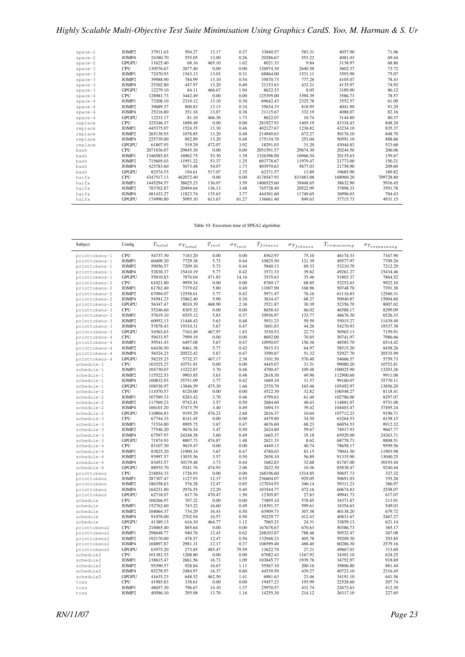| $space-2$ | JOMP2        | 37911.63   | 594.27    | 13.17  | 0.37  | 33840.57   | 583.31    | 4057.90   | 71.06     |
|-----------|--------------|------------|-----------|--------|-------|------------|-----------|-----------|-----------|
| $space-2$ | JOMP4        | 24380.70   | 555.05    | 13.00  | 0.26  | 20286.67   | 553.22    | 4081.03   | 69.44     |
| $space-2$ | <b>GPGPU</b> | 11625.40   | 68.16     | 465.10 | 1.62  | 8021.33    | 9.84      | 3138.97   | 68.86     |
| $space-3$ | <b>CPU</b>   | 130576.67  | 2677.40   | 0.00   | 0.00  | 126974.30  | 2640.58   | 3602.37   | 73.72     |
| $space-3$ | JOMP1        | 72470.93   | 1543.13   | 13.03  | 0.31  | 68864.00   | 1531.11   | 3593.90   | 75.07     |
| $space-3$ | JOMP2        | 39988.90   | 784.99    | 13.10  | 0.54  | 35870.73   | 777.28    | 4105.07   | 78.43     |
| $space-3$ | JOMP4        | 25302.80   | 447.97    | 13.20  | 0.40  | 21153.63   | 433.21    | 4135.97   | 74.92     |
| $space-3$ | <b>GPGPU</b> | 12279.10   | 84.11     | 466.67 | 1.94  | 8622.53    | 8.05      | 3189.90   | 86.12     |
| $space-4$ | <b>CPU</b>   | 128981.73  | 3442.49   | 0.00   | 0.00  | 125395.00  | 3394.39   | 3586.73   | 78.57     |
| $space-4$ | JOMP1        | 73208.10   | 2310.12   | 13.10  | 0.30  | 69642.43   | 2325.78   | 3552.57   | 61.09     |
| $space-4$ | JOMP2        | 39689.37   | 800.83    | 13.13  | 0.34  | 35634.33   | 818.95    | 4041.90   | 91.29     |
| $space-4$ | JOMP4        | 25216.80   | 351.18    | 13.07  | 0.36  | 21115.67   | 332.19    | 4088.07   | 82.16     |
| $space-4$ | <b>GPGPU</b> | 12233.17   | 81.10     | 466.30 | 1.73  | 8622.07    | 10.74     | 3144.80   | 80.37     |
| replace   | <b>CPU</b>   | 325246.37  | 1698.49   | 0.00   | 0.00  | 281927.93  | 1405.19   | 43318.43  | 848.20    |
| replace   | JOMP1        | 445375.07  | 1524.35   | 13.30  | 0.46  | 402127.67  | 1236.82   | 43234.10  | 835.37    |
| replace   | JOMP2        | 265138.93  | 1078.85   | 13.20  | 0.48  | 214949.63  | 672.27    | 50176.10  | 848.70    |
| replace   | JOMP4        | 225739.00  | 892.89    | 13.20  | 0.48  | 175134.70  | 253.04    | 50591.10  | 888.86    |
| replace   | <b>GPGPU</b> | 61807.93   | 519.29    | 472.07 | 3.92  | 18291.03   | 31.20     | 43044.83  | 523.68    |
| bash      | <b>CPU</b>   | 2071836.07 | 29845.30  | 0.00   | 0.00  | 2051591.57 | 29674.30  | 20244.50  | 206.06    |
| bash      | JOMP1        | 1346585.83 | 16962.75  | 53.30  | 1.39  | 1326396.90 | 16966.54  | 20135.63  | 159.67    |
| bash      | JOMP2        | 715605.03  | 11951.22  | 53.37  | 1.25  | 693778.67  | 11979.47  | 21773.00  | 150.21    |
| bash      | JOMP4        | 425783.60  | 5673.48   | 54.07  | 1.73  | 403970.63  | 5677.03   | 21758.90  | 209.60    |
| bash      | <b>GPGPU</b> | 82574.53   | 194.61    | 517.07 | 2.35  | 62371.57   | 13.89     | 19685.90  | 189.82    |
| haifa     | <b>CPU</b>   | 4347517.13 | 462072.40 | 0.00   | 0.00  | 4178547.93 | 831883.88 | 168969.20 | 709728.80 |
| haifa     | JOMP1        | 1445294.57 | 38625.23  | 136.07 | 3.59  | 1406525.60 | 39448.65  | 38632.90  | 5916.45   |
| haifa     | JOMP2        | 783762.87  | 20494.64  | 136.13 | 3.48  | 745728.40  | 20522.99  | 37898.33  | 3591.78   |
| haifa     | JOMP4        | 481433.27  | 11823.74  | 135.63 | 3.77  | 444301.60  | 11749.65  | 36996.03  | 784.43    |
| haifa     | <b>GPGPU</b> | 174990.80  | 5095.10   | 613.67 | 61.27 | 136661.40  | 849.63    | 37715.73  | 4931.15   |

Table 10: Execution time of SPEA2 algotirhm

| Subject                        | Config                     | $\bar{T}_{total}$      | $\sigma_{Total}$   | $\bar{T}_{init}$ | $\sigma_{T_{init}}$ | $\bar{T}_{fitness}$    | $\sigma_{T_{fitness}}$ | $\bar{T}_{remaining}$ | $\sigma_{Tremaining}$ |
|--------------------------------|----------------------------|------------------------|--------------------|------------------|---------------------|------------------------|------------------------|-----------------------|-----------------------|
| printtokens-1                  | <b>CPU</b>                 | 54737.30               | 7183.20            | 0.00             | 0.00                | 8562.97                | 75.10                  | 46174.33              | 7167.90               |
| printtokens-1                  | JOMP1                      | 60409.20               | 7729.38            | 5.73             | 0.44                | 10825.50               | 121.39                 | 49577.97              | 7709.26               |
| printtokens-1                  | JOMP2                      | 59056.57               | 7209.10            | 5.73             | 0.44                | 5840.13                | 69.33                  | 53210.70              | 7212.29               |
| printtokens-1                  | JOMP4                      | 52838.37               | 15410.19           | 5.77             | 0.42                | 3571.33                | 39.62                  | 49261.27              | 15434.46              |
| printtokens-1                  | <b>GPGPU</b>               | 55810.83               | 7876.04            | 471.83           | 14.16               | 3535.63                | 35.46                  | 51803.37              | 7864.52               |
| printtokens-2                  | <b>CPU</b>                 | 61021.80               | 9959.34            | 0.00             | 0.00                | 8769.17                | 68.85                  | 52252.63              | 9922.10               |
| printtokens-2                  | JOMP1                      | 61762.40               | 7379.62            | 5.80             | 0.40                | 11007.90               | 168.96                 | 50748.70              | 7391.38               |
| printtokens-2                  | JOMP <sub>2</sub>          | 67094.07               | 12558.61           | 5.77             | 0.42                | 5971.47                | 76.16                  | 61116.83              | 12560.31              |
| printtokens-2                  | JOMP4                      | 54581.23               | 15862.40           | 5.90             | 0.30                | 3634.47                | 68.27                  | 50940.87              | 15904.60              |
| printtokens-2                  | <b>GPGPU</b>               | 56347.47               | 8010.39            | 468.90           | 2.36                | 3521.87                | 30.39                  | 52356.70              | 8007.62               |
| printtokens-3                  | CPU                        | 55246.60               | 8305.32            | 0.00             | 0.00                | 8658.43                | 66.02                  | 46588.17              | 8299.09               |
| printtokens-3                  | JOMP1                      | 57619.10               | 6555.12            | 5.83             | 0.37                | 10936.97               | 133.77                 | 46676.30              | 6526.33               |
| printtokens-3                  | JOMP2                      | 60952.13               | 11448.43           | 5.63             | 0.48                | 5931.23                | 59.59                  | 55015.27              | 11439.49              |
| printtokens-3                  | JOMP4                      | 57878.43               | 19310.31           | 5.67             | 0.47                | 3601.83                | 44.26                  | 54270.93              | 19337.38              |
| printtokens-3                  | <b>GPGPU</b>               | 54563.63               | 7163.49<br>7999.19 | 467.97<br>0.00   | 1.83<br>0.00        | 3530.53                | 22.73                  | 50565.13              | 7159.91               |
| printtokens-4                  | <b>CPU</b><br>JOMP1        | 59433.97<br>59541.43   | 6497.08            | 5.67             | 0.47                | 8692.00<br>10950.07    | 70.85<br>156.36        | 50741.97<br>48585.70  | 7986.66<br>6514.42    |
| printtokens-4<br>printtokens-4 | JOMP2                      | 64436.50               | 8461.38            | 5.77             | 0.42                | 5915.53                | 64.97                  | 58515.20              | 8458.26               |
| printtokens-4                  | JOMP4                      | 56524.23               | 20522.42           | 5.67             | 0.47                | 3590.87                | 51.32                  | 52927.70              | 20535.99              |
| printtokens-4                  | <b>GPGPU</b>               | 58235.23               | 5732.37            | 467.17           | 2.38                | 3101.50                | 570.40                 | 54666.57              | 5759.73               |
| schedule-1                     | <b>CPU</b>                 | 103525.27              | 10751.91           | 0.00             | 0.00                | 4445.07                | 31.51                  | 99080.20              | 10752.81              |
| schedule-1                     | JOMP1                      | 104730.07              | 13222.87           | 3.70             | 0.46                | 4700.47                | 109.48                 | 100025.90             | 13203.26              |
| schedule-1                     | JOMP2                      | 115522.53              | 9903.85            | 3.63             | 0.48                | 2618.30                | 49.96                  | 112900.60             | 9911.08               |
| schedule-1                     | JOMP4                      | 100832.93              | 35751.09           | 3.77             | 0.42                | 1669.10                | 31.57                  | 99160.07              | 35770.11              |
| schedule-1                     | <b>GPGPU</b>               | 108538.97              | 13846.59           | 475.30           | 1.66                | 2570.70                | 165.46                 | 105492.97             | 13856.20              |
| schedule-2                     | <b>CPU</b>                 | 111070.57              | 8120.00            | 0.00             | 0.00                | 4522.30                | 32.82                  | 106548.27             | 8118.41               |
| schedule-2                     | JOMP1                      | 107589.33              | 8283.42            | 3.70             | 0.46                | 4799.63                | 61.40                  | 102786.00             | 8297.07               |
| schedule-2                     | JOMP2                      | 117569.23              | 9742.41            | 3.57             | 0.50                | 2684.60                | 48.63                  | 114881.07             | 9751.08               |
| schedule-2                     | JOMP4                      | 106101.20              | 37473.79           | 3.40             | 0.49                | 1694.33                | 39.42                  | 104403.47             | 37495.24              |
| schedule-2                     | <b>GPGPU</b>               | 110804.83              | 9195.29            | 476.23           | 2.68                | 2616.37                | 10.64                  | 107712.23             | 9196.71               |
| schedule-3                     | <b>CPU</b>                 | 67744.33               | 8141.45            | 0.00             | 0.00                | 4479.80                | 34.50                  | 63264.53              | 8158.15               |
| schedule-3                     | JOMP1                      | 71534.80               | 8905.75            | 3.67             | 0.47                | 4676.60                | 68.23                  | 66854.53              | 8912.32               |
| schedule-3                     | JOMP2                      | 77546.20               | 9676.54            | 3.47             | 0.50                | 2624.80                | 59.67                  | 74917.93              | 9667.77               |
| schedule-3                     | JOMP4                      | 67597.97               | 24248.38           | 3.60             | 0.49                | 1665.37                | 35.18                  | 65929.00              | 24263.71              |
| schedule-3                     | <b>GPGPU</b>               | 71874.93               | 8807.73            | 474.87           | 1.48                | 2621.33                | 8.62                   | 68778.73              | 8808.51               |
| schedule-4                     | <b>CPU</b>                 | 83107.30               | 9619.47            | 0.00             | 0.00                | 4449.13                | 40.74                  | 78658.17              | 9599.56               |
| schedule-4                     | JOMP1                      | 83825.20               | 11900.34           | 3.67             | 0.47                | 4780.03                | 83.15                  | 79041.50              | 11903.98              |
| schedule-4                     | JOMP2                      | 93997.57               | 13035.56           | 3.57             | 0.50                | 2658.10                | 56.89                  | 91335.90              | 13040.25              |
| schedule-4                     | JOMP4                      | 83453.57               | 30179.48           | 3.73             | 0.44                | 1682.83                | 32.68                  | 81767.00              | 30193.44              |
| schedule-4                     | <b>GPGPU</b><br><b>CPU</b> | 88935.70               | 9241.76            | 474.93<br>0.00   | 2.06<br>0.00        | 2622.30                | 10.36                  | 85838.47              | 9240.44<br>327.32     |
| printtokens                    |                            | 218854.33              | 1726.93            |                  |                     | 168196.60              | 1514.85<br>929.05      | 50657.73              |                       |
| printtokens<br>printtokens     | JOMP1<br>JOMP2             | 287307.47<br>186358.63 | 1127.93<br>576.28  | 12.37<br>12.47   | 0.55<br>0.85        | 236604.07<br>127034.93 | 346.14                 | 50691.03<br>59311.23  | 355.26<br>386.97      |
| printtokens                    | JOMP4                      | 164231.80              | 2976.55            | 12.20            | 0.40                | 103544.77              | 472.16                 | 60674.83              | 2558.07               |
| printtokens                    | <b>GPGPU</b>               | 62718.07               | 617.76             | 470.47           | 1.50                | 12305.87               | 27.83                  | 49941.73              | 617.07                |
| schedule                       | <b>CPU</b>                 | 108266.97              | 707.22             | 0.00             | 0.00                | 73895.10               | 578.85                 | 34371.87              | 213.91                |
| schedule                       | JOMP1                      | 152762.60              | 743.22             | 16.60            | 0.49                | 118391.37              | 599.61                 | 34354.63              | 549.03                |
| schedule                       | JOMP2                      | 104064.37              | 734.29             | 16.43            | 0.50                | 63909.73               | 307.38                 | 40138.20              | 679.72                |
| schedule                       | JOMP4                      | 91078.00               | 2702.94            | 16.57            | 0.50                | 50229.77               | 412.43                 | 40831.67              | 2467.27               |
| schedule                       | <b>GPGPU</b>               | 41389.13               | 616.10             | 464.77           | 1.12                | 7065.23                | 24.31                  | 33859.13              | 621.14                |
| printtokens2                   | <b>CPU</b>                 | 218065.40              | 885.64             | 0.00             | 0.00                | 167678.67              | 670.63                 | 50386.73              | 385.17                |
| printtokens2                   | JOMP1                      | 298648.77              | 940.76             | 12.43            | 0.62                | 248103.87              | 788.46                 | 50532.47              | 367.08                |
| printtokens2                   | JOMP2                      | 192170.00              | 478.57             | 12.47            | 0.50                | 132948.23              | 405.78                 | 59209.30              | 293.85                |
| printtokens2                   | JOMP4                      | 168897.87              | 2981.31            | 12.17            | 0.37                | 108599.40              | 488.40                 | 60286.30              | 2579.16               |
| printtokens2                   | <b>GPGPU</b>               | 63975.20               | 273.85             | 485.47           | 79.59               | 13622.70               | 27.21                  | 49867.03              | 313.69                |
| schedule2                      | <b>CPU</b>                 | 101383.53              | 1208.80            | 0.00             | 0.00                | 67082.43               | 1167.92                | 34301.10              | 624.25                |
| schedule2                      | JOMP1                      | 138615.47              | 2661.56            | 16.73            | 1.09                | 103845.77              | 1939.76                | 34752.97              | 918.69                |
| schedule2                      | JOMP2                      | 95390.57               | 928.84             | 16.67            | 1.11                | 55567.10               | 200.16                 | 39806.80              | 881.44                |
| schedule2                      | JOMP4                      | 85278.97               | 2484.97            | 16.37            | 0.60                | 44539.50               | 439.27                 | 40723.10              | 2316.45               |
| schedule2                      | <b>GPGPU</b>               | 41635.23               | 648.52             | 462.50           | 1.41                | 6981.63                | 23.46                  | 34191.10              | 641.56                |
| tcas                           | <b>CPU</b>                 | 41985.83               | 338.61             | 0.00             | 0.00                | 19457.23               | 195.99                 | 22528.60              | 207.74                |
| tcas                           | JOMP1                      | 48657.30               | 796.67             | 14.10            | 1.37                | 25970.57               | 431.74                 | 22672.63              | 412.30                |
| tcas                           | JOMP2                      | 40586.10               | 295.08             | 13.70            | 1.16                | 14255.30               | 214.12                 | 26317.10              | 227.65                |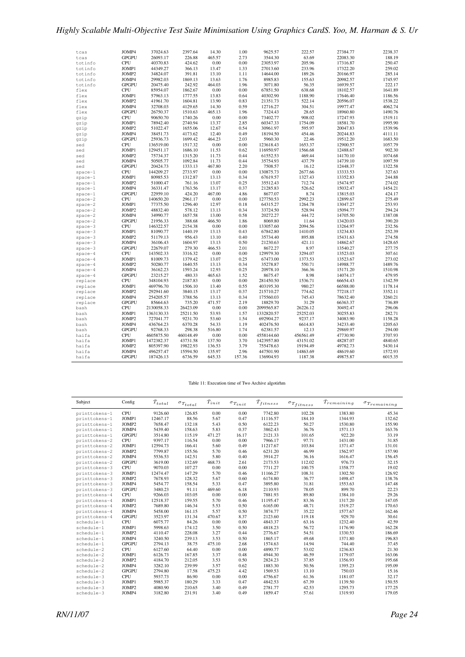| tcas      | JOMP4        | 37024.63   | 2397.64   | 14.30  | 1.00   | 9625.57    | 222.57    | 27384.77 | 2238.37 |
|-----------|--------------|------------|-----------|--------|--------|------------|-----------|----------|---------|
| tcas      | <b>GPGPU</b> | 26093.17   | 226.88    | 465.57 | 2.73   | 3544.30    | 63.69     | 22083.30 | 188.19  |
| totinfo   | <b>CPU</b>   | 40370.83   | 424.62    | 0.00   | 0.00   | 23053.97   | 205.96    | 17316.87 | 250.47  |
| totinfo   | JOMP1        | 44349.27   | 366.13    | 13.47  | 1.33   | 27013.60   | 233.96    | 17322.20 | 259.02  |
| totinfo   | JOMP2        | 34824.07   | 391.81    | 13.10  | 1.11   | 14644.00   | 189.26    | 20166.97 | 285.14  |
| totinfo   | JOMP4        | 29982.03   | 1869.13   | 13.63  | 1.76   | 8985.83    | 155.63    | 20982.57 | 1745.97 |
| totinfo   | <b>GPGPU</b> | 20475.40   | 242.92    | 464.03 | 1.96   | 3071.80    | 56.35     | 16939.57 | 222.17  |
| flex      | <b>CPU</b>   | 85954.07   | 1862.67   | 0.00   | 0.00   | 67851.50   | 638.68    | 18102.57 | 1641.89 |
| flex      | JOMP1        | 57963.13   | 1777.55   | 13.83  | 0.64   | 40302.90   | 1188.90   | 17646.40 | 1186.56 |
| flex      | JOMP2        | 41961.70   | 1604.81   | 13.90  | 0.83   | 21351.73   | 522.14    | 20596.07 | 1538.22 |
| flex      | JOMP4        | 32708.03   | 4129.65   | 14.30  | 0.59   | 12716.27   | 304.51    | 19977.47 | 4062.74 |
| flex      | <b>GPGPU</b> | 26750.37   | 1510.63   | 465.13 | 1.96   | 7324.43    | 28.65     | 18960.80 | 1490.76 |
| qzip      | CPU          | 90650.70   | 1740.26   | 0.00   | 0.00   | 73402.77   | 908.02    | 17247.93 | 1519.11 |
| qzip      | JOMP1        | 78942.40   | 2740.94   | 13.37  | 2.85   | 60347.33   | 1754.09   | 18581.70 | 1995.90 |
| qzip      | JOMP2        | 51022.47   | 1655.06   | 12.67  | 0.54   | 30961.97   | 595.97    | 20047.83 | 1539.96 |
| qzip      | JOMP4        | 38451.73   | 4173.62   | 12.40  | 0.49   | 18194.50   | 454.46    | 20244.83 | 4111.11 |
| qzip      | <b>GPGPU</b> | 25936.73   | 1699.42   | 464.23 | 2.03   | 5960.30    | 22.46     | 19512.20 | 1683.50 |
| sed       | CPU          | 136519.00  | 1517.32   | 0.00   | 0.00   | 123618.43  | 1653.37   | 12900.57 | 1057.79 |
| sed       | JOMP1        | 129451.17  | 1686.10   | 11.53  | 0.62   | 116950.97  | 1566.68   | 12488.67 | 902.30  |
| sed       | JOMP2        | 75734.37   | 1315.20   | 11.73  | 0.44   | 61552.53   | 469.44    | 14170.10 | 1074.68 |
| sed       | JOMP4        | 50505.77   | 1092.84   | 11.73  | 0.44   | 35754.93   | 437.79    | 14739.10 | 1097.59 |
| sed       | <b>GPGPU</b> | 20424.73   | 1333.13   | 467.80 | 2.20   | 7508.57    | 16.12     | 12448.37 | 1322.58 |
| $space-1$ | CPU          | 144209.27  | 2733.97   | 0.00   | 0.00   | 130875.73  | 2677.66   | 13333.53 | 327.63  |
| $space-1$ | JOMP1        | 80985.53   | 1312.87   | 13.13  | 0.34   | 67619.57   | 1327.43   | 13352.83 | 244.88  |
| $space-1$ | JOMP2        | 51000.47   | 761.16    | 13.07  | 0.25   | 35512.43   | 712.74    | 15474.97 | 274.02  |
| $space-1$ | JOMP4        | 36331.47   | 1763.56   | 13.17  | 0.37   | 21285.83   | 526.62    | 15032.47 | 1454.21 |
| $space-1$ | <b>GPGPU</b> | 22959.10   | 424.20    | 467.00 | 4.86   | 8677.07    | 8.74      | 13815.03 | 424.17  |
| $space-2$ | <b>CPU</b>   | 140650.20  | 2961.17   | 0.00   | 0.00   | 127750.53  | 2992.23   | 12899.67 | 275.49  |
| $space-2$ | JOMP1        | 77375.50   | 1296.40   | 12.97  | 0.18   | 64315.27   | 1264.78   | 13047.27 | 253.93  |
| $space-2$ | JOMP2        | 48832.40   | 578.12    | 13.13  | 0.34   | 33724.50   | 528.94    | 15094.77 | 294.24  |
| $space-2$ | JOMP4        | 34990.77   | 1657.58   | 13.00  | 0.58   | 20272.27   | 444.72    | 14705.50 | 1387.08 |
| $space-2$ | <b>GPGPU</b> | 21956.33   | 388.68    | 466.50 | 1.86   | 8069.80    | 11.64     | 13420.03 | 390.20  |
| $space-3$ | <b>CPU</b>   | 146322.57  | 2154.38   | 0.00   | 0.00   | 133057.60  | 2094.56   | 13264.97 | 232.56  |
| $space-3$ | JOMP1        | 81090.77   | 1440.19   | 13.13  | 0.43   | 67842.80   | 1410.05   | 13234.83 | 252.39  |
| $space-3$ | JOMP2        | 51179.13   | 956.43    | 13.10  | 0.40   | 35734.40   | 895.88    | 15431.63 | 274.58  |
| $space-3$ | JOMP4        | 36106.43   | 1604.97   | 13.13  | 0.50   | 21230.63   | 421.11    | 14862.67 | 1428.65 |
| $space-3$ | <b>GPGPU</b> | 22679.07   | 279.30    | 466.53 | 2.01   | 8672.27    | 8.97      | 13540.27 | 277.75  |
| $space-4$ | CPU          | 143502.33  | 3316.32   | 0.00   | 0.00   | 129979.30  | 3294.07   | 13523.03 | 307.61  |
| $space-4$ | JOMP1        | 81009.73   | 1379.42   | 13.07  | 0.25   | 67473.00   | 1373.53   | 13523.67 | 273.02  |
| $space-4$ | JOMP2        | 50280.77   | 1640.55   | 13.13  | 0.34   | 35278.87   | 550.71    | 14988.77 | 1489.76 |
| $space-4$ | JOMP4        | 36162.23   | 1593.24   | 12.93  | 0.25   | 20978.10   | 366.36    | 15171.20 | 1510.98 |
| $space-4$ | <b>GPGPU</b> | 23215.27   | 480.33    | 465.63 | 1.52   | 8675.47    | 8.98      | 14074.17 | 479.95  |
| replace   | <b>CPU</b>   | 348104.93  | 2187.83   | 0.00   | 0.00   | 281450.50  | 1536.71   | 66654.43 | 1342.59 |
| replace   | JOMP1        | 469796.70  | 1506.10   | 13.40  | 0.55   | 403195.30  | 980.27    | 66588.00 | 1178.14 |
| replace   | JOMP2        | 292941.60  | 3840.15   | 13.17  | 0.37   | 215710.27  | 774.62    | 77218.17 | 3352.11 |
| replace   | JOMP4        | 254205.57  | 3788.56   | 13.13  | 0.34   | 175560.03  | 745.43    | 78632.40 | 3260.21 |
| replace   | <b>GPGPU</b> | 85664.63   | 735.20    | 471.57 | 2.19   | 18829.70   | 31.29     | 66363.37 | 736.89  |
| bash      | CPU          | 2130058.33 | 26423.09  | 0.00   | 0.00   | 2099565.87 | 26226.12  | 30492.47 | 296.06  |
| bash      | JOMP1        | 1363130.33 | 25211.50  | 53.93  | 1.57   | 1332820.57 | 25252.03  | 30255.83 | 282.71  |
| bash      | JOMP2        | 727041.77  | 9231.70   | 53.60  | 1.54   | 692904.27  | 9237.17   | 34083.90 | 1158.28 |
| bash      | JOMP4        | 436764.23  | 6370.28   | 54.33  | 1.19   | 402476.50  | 6614.83   | 34233.40 | 1205.63 |
| bash      | <b>GPGPU</b> | 92768.33   | 298.38    | 516.80 | 1.74   | 62381.57   | 12.13     | 29869.97 | 294.00  |
| haifa     | <b>CPU</b>   | 4605875.50 | 460148.49 | 0.00   | 0.00   | 4558144.60 | 456561.49 | 47730.90 | 3707.93 |
| haifa     | JOMP1        | 1472382.37 | 43731.58  | 137.50 | 3.70   | 1423957.80 | 43151.02  | 48287.07 | 4840.65 |
| haifa     | JOMP2        | 805397.90  | 19822.93  | 136.53 | 3.79   | 755478.63  | 19194.49  | 49782.73 | 5430.14 |
| haifa     | JOMP4        | 496257.47  | 15594.50  | 135.97 | 2.96   | 447501.90  | 14863.69  | 48619.60 | 1572.93 |
| haifa     | <b>GPGPU</b> | 187426.13  | 6736.59   | 645.33 | 157.36 | 136904.93  | 1187.38   | 49875.87 | 6015.35 |
|           |              |            |           |        |        |            |           |          |         |

#### Table 11: Execution time of Two Archive algotirhm

| Subject       | Config       | $\bar{T}_{total}$ | $\sigma_{Total}$ | $\bar{T}_{init}$ | $\sigma_{T_{init}}$ | $\bar{T}_{fitness}$ | $\sigma_{T_{fitness}}$ | $\bar{T}_{remaining}$ | $\sigma_{Tremaining}$ |
|---------------|--------------|-------------------|------------------|------------------|---------------------|---------------------|------------------------|-----------------------|-----------------------|
| printtokens-1 | <b>CPU</b>   | 9126.60           | 126.85           | 0.00             | 0.00                | 7742.80             | 102.28                 | 1383.80               | 45.34                 |
| printtokens-1 | JOMP1        | 12467.17          | 88.56            | 5.67             | 0.47                | 11116.57            | 184.10                 | 1344.93               | 132.62                |
| printtokens-1 | JOMP2        | 7658.47           | 132.18           | 5.43             | 0.50                | 6122.23             | 50.27                  | 1530.80               | 155.90                |
| printtokens-1 | JOMP4        | 5439.40           | 158.63           | 5.83             | 0.37                | 3862.43             | 36.76                  | 1571.13               | 163.76                |
| printtokens-1 | <b>GPGPU</b> | 3514.80           | 115.19           | 471.27           | 16.17               | 2121.33             | 101.65                 | 922.20                | 33.19                 |
| printtokens-2 | <b>CPU</b>   | 9397.17           | 116.54           | 0.00             | 0.00                | 7966.17             | 97.71                  | 1431.00               | 31.85                 |
| printtokens-2 | JOMP1        | 12594.73          | 166.41           | 5.60             | 0.49                | 11217.67            | 103.84                 | 1371.47               | 131.01                |
| printtokens-2 | JOMP2        | 7799.87           | 155.56           | 5.70             | 0.46                | 6231.20             | 46.99                  | 1562.97               | 157.90                |
| printtokens-2 | JOMP4        | 5536.53           | 142.51           | 5.80             | 0.40                | 3914.27             | 36.16                  | 1616.47               | 156.45                |
| printtokens-2 | <b>GPGPU</b> | 3619.00           | 132.69           | 468.73           | 2.61                | 2173.53             | 112.02                 | 976.73                | 32.15                 |
| printtokens-3 | CPU          | 9070.03           | 107.27           | 0.00             | 0.00                | 7711.27             | 100.75                 | 1358.77               | 19.02                 |
| printtokens-3 | JOMP1        | 12474.47          | 147.29           | 5.70             | 0.46                | 11166.27            | 108.31                 | 1302.50               | 126.92                |
| printtokens-3 | JOMP2        | 7678.93           | 128.32           | 5.67             | 0.60                | 6174.80             | 36.77                  | 1498.47               | 138.76                |
| printtokens-3 | JOMP4        | 5454.77           | 158.54           | 5.33             | 0.47                | 3895.80             | 31.81                  | 1553.63               | 147.48                |
| printtokens-3 | <b>GPGPU</b> | 3480.23           | 91.11            | 469.60           | 6.18                | 2110.93             | 78.05                  | 899.70                | 22.23                 |
| printtokens-4 | CPU          | 9266.03           | 103.05           | 0.00             | 0.00                | 7881.93             | 89.80                  | 1384.10               | 29.26                 |
| printtokens-4 | JOMP1        | 12518.37          | 159.55           | 5.70             | 0.46                | 11195.47            | 83.36                  | 1317.20               | 147.05                |
| printtokens-4 | JOMP2        | 7689.80           | 146.34           | 5.53             | 0.50                | 6165.00             | 48.71                  | 1519.27               | 170.63                |
| printtokens-4 | JOMP4        | 5458.00           | 161.15           | 5.57             | 0.50                | 3874.77             | 35.22                  | 1577.67               | 162.46                |
| printtokens-4 | <b>GPGPU</b> | 3523.97           | 131.34           | 470.67           | 8.37                | 2123.60             | 119.18                 | 929.70                | 30.61                 |
| schedule-1    | <b>CPU</b>   | 6075.77           | 84.26            | 0.00             | 0.00                | 4843.37             | 63.16                  | 1232.40               | 42.59                 |
| schedule-1    | JOMP1        | 5998.63           | 174.12           | 3.50             | 0.50                | 4818.23             | 56.72                  | 1176.90               | 162.28                |
| schedule-1    | JOMP2        | 4110.47           | 228.08           | 3.27             | 0.44                | 2776.67             | 54.51                  | 1330.53               | 186.69                |
| schedule-1    | JOMP4        | 3240.50           | 239.13           | 3.53             | 0.50                | 1865.17             | 49.68                  | 1371.80               | 196.83                |
| schedule-1    | <b>GPGPU</b> | 2794.13           | 38.75            | 475.10           | 2.68                | 1574.63             | 14.94                  | 744.40                | 37.45                 |
| schedule-2    | <b>CPU</b>   | 6127.60           | 64.40            | 0.00             | 0.00                | 4890.77             | 53.02                  | 1236.83               | 21.30                 |
| schedule-2    | JOMP1        | 6126.73           | 167.85           | 3.37             | 0.48                | 4944.30             | 46.59                  | 1179.07               | 163.06                |
| schedule-2    | JOMP2        | 4184.70           | 212.05           | 3.53             | 0.50                | 2824.23             | 37.85                  | 1356.93               | 195.68                |
| schedule-2    | JOMP4        | 3282.10           | 239.99           | 3.57             | 0.62                | 1883.30             | 50.56                  | 1395.23               | 195.09                |
| schedule-2    | <b>GPGPU</b> | 2794.80           | 17.58            | 475.23           | 4.42                | 1569.53             | 13.10                  | 750.03                | 15.16                 |
| schedule-3    | CPU          | 5937.73           | 86.90            | 0.00             | 0.00                | 4756.67             | 61.36                  | 1181.07               | 32.17                 |
| schedule-3    | JOMP1        | 5985.37           | 180.29           | 3.33             | 0.47                | 4842.53             | 67.39                  | 1139.50               | 150.55                |
| schedule-3    | JOMP2        | 4080.90           | 210.65           | 3.40             | 0.49                | 2781.77             | 42.53                  | 1295.73               | 177.25                |
| schedule-3    | JOMP4        | 3182.80           | 231.91           | 3.40             | 0.49                | 1859.47             | 57.61                  | 1319.93               | 179.05                |